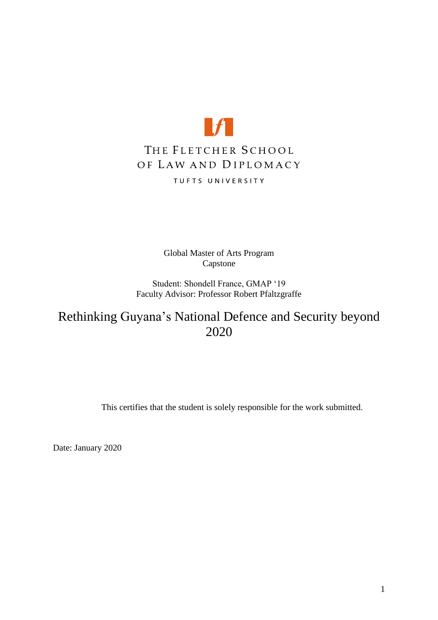

Global Master of Arts Program Capstone

Student: Shondell France, GMAP '19 Faculty Advisor: Professor Robert Pfaltzgraffe

Rethinking Guyana's National Defence and Security beyond 2020

This certifies that the student is solely responsible for the work submitted.

Date: January 2020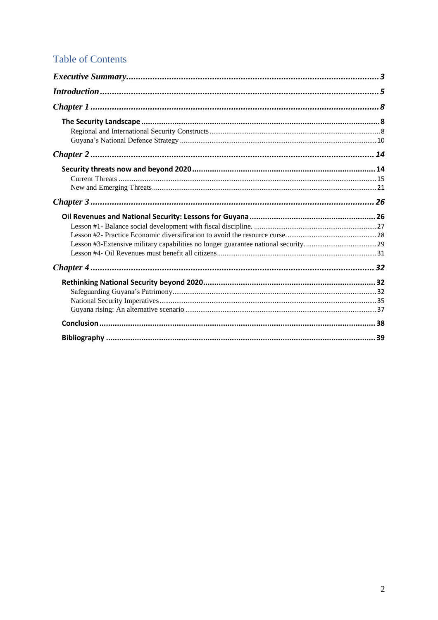## **Table of Contents**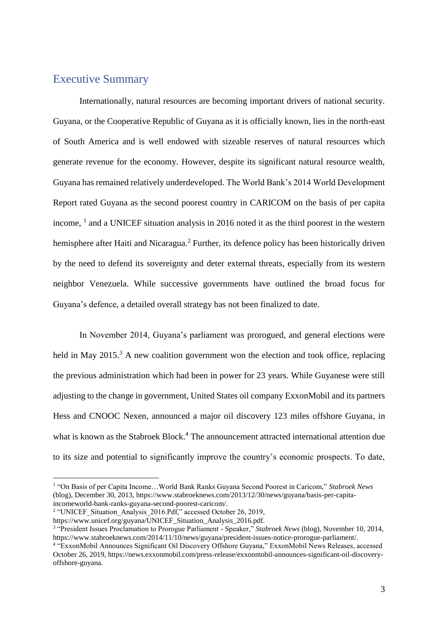## <span id="page-2-0"></span>Executive Summary

Internationally, natural resources are becoming important drivers of national security. Guyana, or the Cooperative Republic of Guyana as it is officially known, lies in the north-east of South America and is well endowed with sizeable reserves of natural resources which generate revenue for the economy. However, despite its significant natural resource wealth, Guyana has remained relatively underdeveloped. The World Bank's 2014 World Development Report rated Guyana as the second poorest country in CARICOM on the basis of per capita income, 1 and a UNICEF situation analysis in 2016 noted it as the third poorest in the western hemisphere after Haiti and Nicaragua.<sup>2</sup> Further, its defence policy has been historically driven by the need to defend its sovereignty and deter external threats, especially from its western neighbor Venezuela. While successive governments have outlined the broad focus for Guyana's defence, a detailed overall strategy has not been finalized to date.

In November 2014, Guyana's parliament was prorogued, and general elections were held in May  $2015<sup>3</sup>$  A new coalition government won the election and took office, replacing the previous administration which had been in power for 23 years. While Guyanese were still adjusting to the change in government, United States oil company ExxonMobil and its partners Hess and CNOOC Nexen, announced a major oil discovery 123 miles offshore Guyana, in what is known as the Stabroek Block.<sup>4</sup> The announcement attracted international attention due to its size and potential to significantly improve the country's economic prospects. To date,

<sup>&</sup>lt;sup>1</sup> "On Basis of per Capita Income... World Bank Ranks Guyana Second Poorest in Caricom," Stabroek News (blog), December 30, 2013, https://www.stabroeknews.com/2013/12/30/news/guyana/basis-per-capitaincomeworld-bank-ranks-guyana-second-poorest-caricom/.

<sup>&</sup>lt;sup>2</sup> "UNICEF\_Situation\_Analysis\_2016.Pdf," accessed October 26, 2019,

https://www.unicef.org/guyana/UNICEF\_Situation\_Analysis\_2016.pdf.

<sup>3</sup> "President Issues Proclamation to Prorogue Parliament - Speaker," *Stabroek News* (blog), November 10, 2014, https://www.stabroeknews.com/2014/11/10/news/guyana/president-issues-notice-prorogue-parliament/.

<sup>4</sup> "ExxonMobil Announces Significant Oil Discovery Offshore Guyana," ExxonMobil News Releases, accessed October 26, 2019, https://news.exxonmobil.com/press-release/exxonmobil-announces-significant-oil-discoveryoffshore-guyana.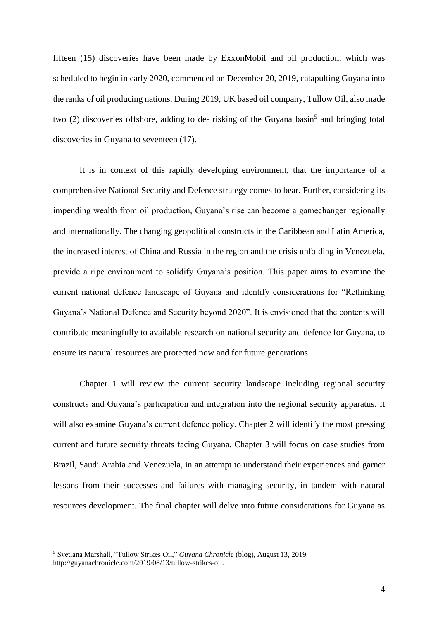fifteen (15) discoveries have been made by ExxonMobil and oil production, which was scheduled to begin in early 2020, commenced on December 20, 2019, catapulting Guyana into the ranks of oil producing nations. During 2019, UK based oil company, Tullow Oil, also made two (2) discoveries offshore, adding to de- risking of the Guyana basin<sup>5</sup> and bringing total discoveries in Guyana to seventeen (17).

It is in context of this rapidly developing environment, that the importance of a comprehensive National Security and Defence strategy comes to bear. Further, considering its impending wealth from oil production, Guyana's rise can become a gamechanger regionally and internationally. The changing geopolitical constructs in the Caribbean and Latin America, the increased interest of China and Russia in the region and the crisis unfolding in Venezuela, provide a ripe environment to solidify Guyana's position. This paper aims to examine the current national defence landscape of Guyana and identify considerations for "Rethinking Guyana's National Defence and Security beyond 2020". It is envisioned that the contents will contribute meaningfully to available research on national security and defence for Guyana, to ensure its natural resources are protected now and for future generations.

Chapter 1 will review the current security landscape including regional security constructs and Guyana's participation and integration into the regional security apparatus. It will also examine Guyana's current defence policy. Chapter 2 will identify the most pressing current and future security threats facing Guyana. Chapter 3 will focus on case studies from Brazil, Saudi Arabia and Venezuela, in an attempt to understand their experiences and garner lessons from their successes and failures with managing security, in tandem with natural resources development. The final chapter will delve into future considerations for Guyana as

<sup>5</sup> Svetlana Marshall, "Tullow Strikes Oil," *Guyana Chronicle* (blog), August 13, 2019, http://guyanachronicle.com/2019/08/13/tullow-strikes-oil.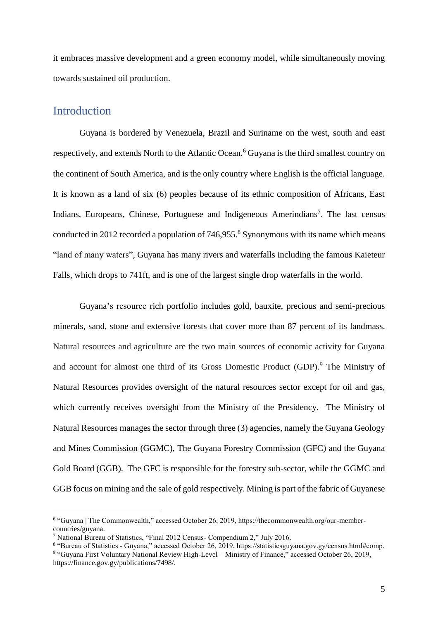it embraces massive development and a green economy model, while simultaneously moving towards sustained oil production.

#### <span id="page-4-0"></span>**Introduction**

 $\overline{a}$ 

Guyana is bordered by Venezuela, Brazil and Suriname on the west, south and east respectively, and extends North to the Atlantic Ocean.<sup>6</sup> Guyana is the third smallest country on the continent of South America, and is the only country where English is the official language. It is known as a land of six (6) peoples because of its ethnic composition of Africans, East Indians, Europeans, Chinese, Portuguese and Indigeneous Amerindians<sup>7</sup>. The last census conducted in 2012 recorded a population of 746,955. <sup>8</sup> Synonymous with its name which means "land of many waters", Guyana has many rivers and waterfalls including the famous Kaieteur Falls, which drops to 741ft, and is one of the largest single drop waterfalls in the world.

Guyana's resource rich portfolio includes gold, bauxite, precious and semi-precious minerals, sand, stone and extensive forests that cover more than 87 percent of its landmass. Natural resources and agriculture are the two main sources of economic activity for Guyana and account for almost one third of its Gross Domestic Product (GDP).<sup>9</sup> The Ministry of Natural Resources provides oversight of the natural resources sector except for oil and gas, which currently receives oversight from the Ministry of the Presidency. The Ministry of Natural Resources manages the sector through three (3) agencies, namely the Guyana Geology and Mines Commission (GGMC), The Guyana Forestry Commission (GFC) and the Guyana Gold Board (GGB). The GFC is responsible for the forestry sub-sector, while the GGMC and GGB focus on mining and the sale of gold respectively. Mining is part of the fabric of Guyanese

<sup>&</sup>lt;sup>6</sup> "Guyana | The Commonwealth," accessed October 26, 2019, https://thecommonwealth.org/our-membercountries/guyana.

<sup>7</sup> National Bureau of Statistics, "Final 2012 Census- Compendium 2," July 2016.

<sup>8</sup> "Bureau of Statistics - Guyana," accessed October 26, 2019, https://statisticsguyana.gov.gy/census.html#comp. 9 "Guyana First Voluntary National Review High-Level – Ministry of Finance," accessed October 26, 2019, https://finance.gov.gy/publications/7498/.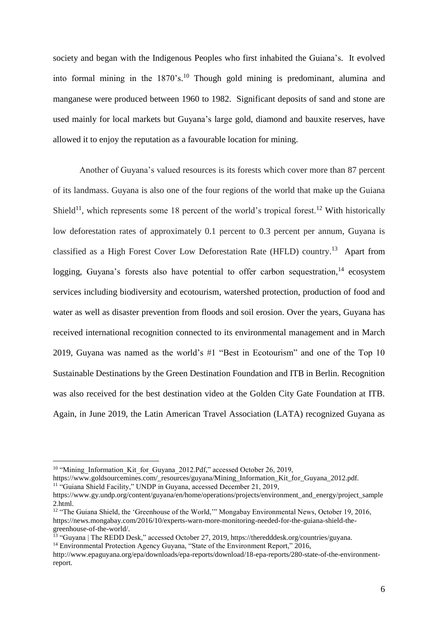society and began with the Indigenous Peoples who first inhabited the Guiana's. It evolved into formal mining in the 1870's. <sup>10</sup> Though gold mining is predominant, alumina and manganese were produced between 1960 to 1982. Significant deposits of sand and stone are used mainly for local markets but Guyana's large gold, diamond and bauxite reserves, have allowed it to enjoy the reputation as a favourable location for mining.

Another of Guyana's valued resources is its forests which cover more than 87 percent of its landmass. Guyana is also one of the four regions of the world that make up the Guiana Shield<sup>11</sup>, which represents some 18 percent of the world's tropical forest.<sup>12</sup> With historically low deforestation rates of approximately 0.1 percent to 0.3 percent per annum, Guyana is classified as a High Forest Cover Low Deforestation Rate (HFLD) country.<sup>13</sup> Apart from logging, Guyana's forests also have potential to offer carbon sequestration,<sup>14</sup> ecosystem services including biodiversity and ecotourism, watershed protection, production of food and water as well as disaster prevention from floods and soil erosion. Over the years, Guyana has received international recognition connected to its environmental management and in March 2019, Guyana was named as the world's #1 "Best in Ecotourism" and one of the Top 10 Sustainable Destinations by the Green Destination Foundation and ITB in Berlin. Recognition was also received for the best destination video at the Golden City Gate Foundation at ITB. Again, in June 2019, the Latin American Travel Association (LATA) recognized Guyana as

<sup>&</sup>lt;sup>10</sup> "Mining Information Kit for Guyana  $2012.Pdf$ ," accessed October 26, 2019,

https://www.goldsourcemines.com/\_resources/guyana/Mining\_Information\_Kit\_for\_Guyana\_2012.pdf.

<sup>&</sup>lt;sup>11</sup> "Guiana Shield Facility," UNDP in Guyana, accessed December 21, 2019,

https://www.gy.undp.org/content/guyana/en/home/operations/projects/environment\_and\_energy/project\_sample 2.html.

<sup>&</sup>lt;sup>12</sup> "The Guiana Shield, the 'Greenhouse of the World,'" Mongabay Environmental News, October 19, 2016, https://news.mongabay.com/2016/10/experts-warn-more-monitoring-needed-for-the-guiana-shield-thegreenhouse-of-the-world/.

<sup>&</sup>lt;sup>13</sup> "Guyana | The REDD Desk," accessed October 27, 2019, https://theredddesk.org/countries/guyana. <sup>14</sup> Environmental Protection Agency Guyana, "State of the Environment Report," 2016,

http://www.epaguyana.org/epa/downloads/epa-reports/download/18-epa-reports/280-state-of-the-environmentreport.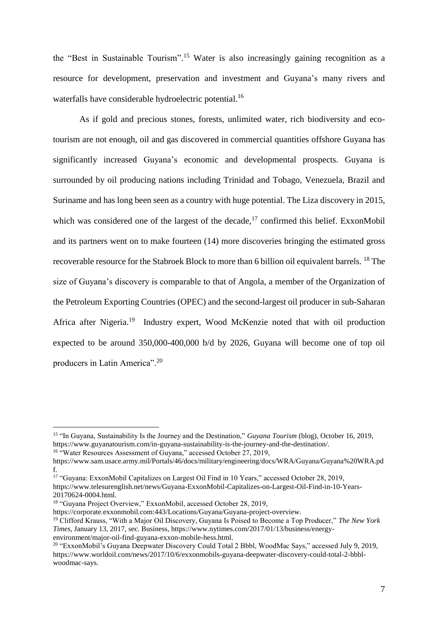the "Best in Sustainable Tourism". <sup>15</sup> Water is also increasingly gaining recognition as a resource for development, preservation and investment and Guyana's many rivers and waterfalls have considerable hydroelectric potential.<sup>16</sup>

As if gold and precious stones, forests, unlimited water, rich biodiversity and ecotourism are not enough, oil and gas discovered in commercial quantities offshore Guyana has significantly increased Guyana's economic and developmental prospects. Guyana is surrounded by oil producing nations including Trinidad and Tobago, Venezuela, Brazil and Suriname and has long been seen as a country with huge potential. The Liza discovery in 2015, which was considered one of the largest of the decade, $17$  confirmed this belief. ExxonMobil and its partners went on to make fourteen (14) more discoveries bringing the estimated gross recoverable resource for the Stabroek Block to more than 6 billion oil equivalent barrels. <sup>18</sup> The size of Guyana's discovery is comparable to that of Angola, a member of the Organization of the Petroleum Exporting Countries (OPEC) and the second-largest oil producer in sub-Saharan Africa after Nigeria.<sup>19</sup> Industry expert, Wood McKenzie noted that with oil production expected to be around 350,000-400,000 b/d by 2026, Guyana will become one of top oil producers in Latin America".<sup>20</sup>

<sup>15</sup> "In Guyana, Sustainability Is the Journey and the Destination," *Guyana Tourism* (blog), October 16, 2019, https://www.guyanatourism.com/in-guyana-sustainability-is-the-journey-and-the-destination/.

<sup>&</sup>lt;sup>16</sup> "Water Resources Assessment of Guyana," accessed October 27, 2019,

https://www.sam.usace.army.mil/Portals/46/docs/military/engineering/docs/WRA/Guyana/Guyana%20WRA.pd f.

<sup>&</sup>lt;sup>17</sup> "Guyana: ExxonMobil Capitalizes on Largest Oil Find in 10 Years," accessed October 28, 2019, https://www.telesurenglish.net/news/Guyana-ExxonMobil-Capitalizes-on-Largest-Oil-Find-in-10-Years-20170624-0004.html.

<sup>18</sup> "Guyana Project Overview," ExxonMobil, accessed October 28, 2019,

https://corporate.exxonmobil.com:443/Locations/Guyana/Guyana-project-overview.

<sup>19</sup> Clifford Krauss, "With a Major Oil Discovery, Guyana Is Poised to Become a Top Producer," *The New York Times*, January 13, 2017, sec. Business, https://www.nytimes.com/2017/01/13/business/energyenvironment/major-oil-find-guyana-exxon-mobile-hess.html.

<sup>20</sup> "ExxonMobil's Guyana Deepwater Discovery Could Total 2 Bbbl, WoodMac Says," accessed July 9, 2019, https://www.worldoil.com/news/2017/10/6/exxonmobils-guyana-deepwater-discovery-could-total-2-bbblwoodmac-says.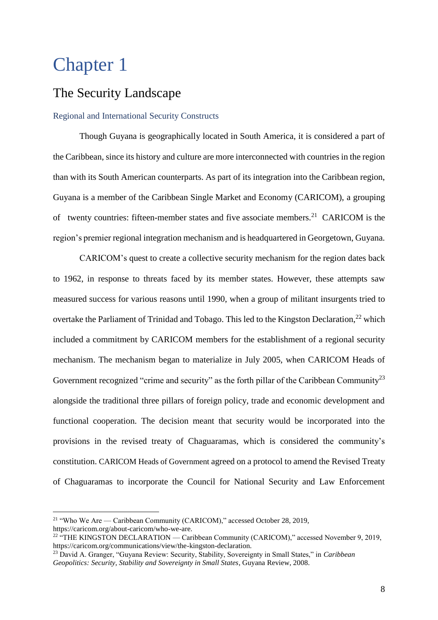# <span id="page-7-0"></span>Chapter 1

 $\overline{a}$ 

## <span id="page-7-1"></span>The Security Landscape

#### <span id="page-7-2"></span>Regional and International Security Constructs

Though Guyana is geographically located in South America, it is considered a part of the Caribbean, since its history and culture are more interconnected with countries in the region than with its South American counterparts. As part of its integration into the Caribbean region, Guyana is a member of the Caribbean Single Market and Economy (CARICOM), a grouping of twenty countries: fifteen-member states and five associate members.<sup>21</sup> CARICOM is the region's premier regional integration mechanism and is headquartered in Georgetown, Guyana.

CARICOM's quest to create a collective security mechanism for the region dates back to 1962, in response to threats faced by its member states. However, these attempts saw measured success for various reasons until 1990, when a group of militant insurgents tried to overtake the Parliament of Trinidad and Tobago. This led to the Kingston Declaration,<sup>22</sup> which included a commitment by CARICOM members for the establishment of a regional security mechanism. The mechanism began to materialize in July 2005, when CARICOM Heads of Government recognized "crime and security" as the forth pillar of the Caribbean Community<sup>23</sup> alongside the traditional three pillars of foreign policy, trade and economic development and functional cooperation. The decision meant that security would be incorporated into the provisions in the revised treaty of Chaguaramas, which is considered the community's constitution. CARICOM Heads of Government agreed on a protocol to amend the Revised Treaty of Chaguaramas to incorporate the Council for National Security and Law Enforcement

<sup>&</sup>lt;sup>21</sup> "Who We Are — Caribbean Community (CARICOM)," accessed October 28, 2019, https://caricom.org/about-caricom/who-we-are.

<sup>&</sup>lt;sup>22 "T</sup>HE KINGSTON DECLARATION — Caribbean Community (CARICOM)," accessed November 9, 2019, https://caricom.org/communications/view/the-kingston-declaration.

<sup>23</sup> David A. Granger, "Guyana Review: Security, Stability, Sovereignty in Small States," in *Caribbean Geopolitics: Security, Stability and Sovereignty in Small States*, Guyana Review, 2008.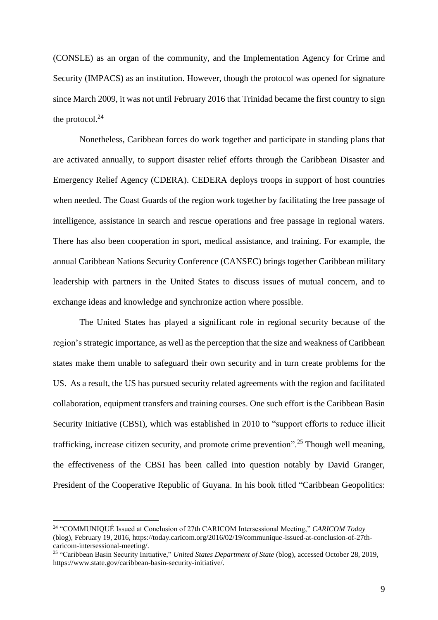(CONSLE) as an organ of the community, and the Implementation Agency for Crime and Security (IMPACS) as an institution. However, though the protocol was opened for signature since March 2009, it was not until February 2016 that Trinidad became the first country to sign the protocol. $^{24}$ 

Nonetheless, Caribbean forces do work together and participate in standing plans that are activated annually, to support disaster relief efforts through the Caribbean Disaster and Emergency Relief Agency (CDERA). CEDERA deploys troops in support of host countries when needed. The Coast Guards of the region work together by facilitating the free passage of intelligence, assistance in search and rescue operations and free passage in regional waters. There has also been cooperation in sport, medical assistance, and training. For example, the annual Caribbean Nations Security Conference (CANSEC) brings together Caribbean military leadership with partners in the United States to discuss issues of mutual concern, and to exchange ideas and knowledge and synchronize action where possible.

The United States has played a significant role in regional security because of the region's strategic importance, as well as the perception that the size and weakness of Caribbean states make them unable to safeguard their own security and in turn create problems for the US. As a result, the US has pursued security related agreements with the region and facilitated collaboration, equipment transfers and training courses. One such effort is the Caribbean Basin Security Initiative (CBSI), which was established in 2010 to "support efforts to reduce illicit trafficking, increase citizen security, and promote crime prevention".<sup>25</sup> Though well meaning, the effectiveness of the CBSI has been called into question notably by David Granger, President of the Cooperative Republic of Guyana. In his book titled "Caribbean Geopolitics:

<sup>24</sup> "COMMUNIQUÉ Issued at Conclusion of 27th CARICOM Intersessional Meeting," *CARICOM Today* (blog), February 19, 2016, https://today.caricom.org/2016/02/19/communique-issued-at-conclusion-of-27thcaricom-intersessional-meeting/.

<sup>25</sup> "Caribbean Basin Security Initiative," *United States Department of State* (blog), accessed October 28, 2019, https://www.state.gov/caribbean-basin-security-initiative/.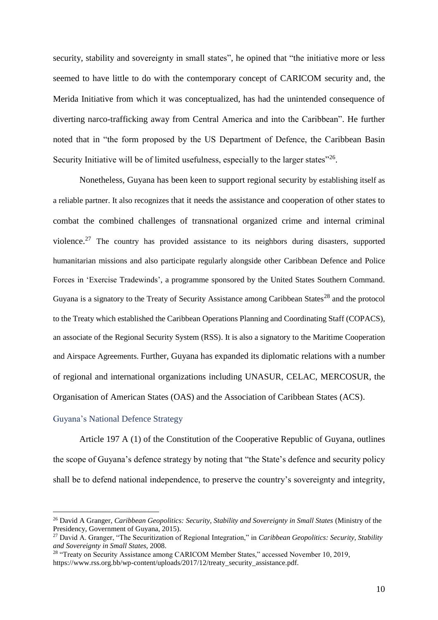security, stability and sovereignty in small states", he opined that "the initiative more or less seemed to have little to do with the contemporary concept of CARICOM security and, the Merida Initiative from which it was conceptualized, has had the unintended consequence of diverting narco-trafficking away from Central America and into the Caribbean". He further noted that in "the form proposed by the US Department of Defence, the Caribbean Basin Security Initiative will be of limited usefulness, especially to the larger states"<sup>26</sup>.

Nonetheless, Guyana has been keen to support regional security by establishing itself as a reliable partner. It also recognizes that it needs the assistance and cooperation of other states to combat the combined challenges of transnational organized crime and internal criminal violence.<sup>27</sup> The country has provided assistance to its neighbors during disasters, supported humanitarian missions and also participate regularly alongside other Caribbean Defence and Police Forces in 'Exercise Tradewinds', a programme sponsored by the United States Southern Command. Guyana is a signatory to the Treaty of Security Assistance among Caribbean States<sup>28</sup> and the protocol to the Treaty which established the Caribbean Operations Planning and Coordinating Staff (COPACS), an associate of the Regional Security System (RSS). It is also a signatory to the Maritime Cooperation and Airspace Agreements. Further, Guyana has expanded its diplomatic relations with a number of regional and international organizations including UNASUR, CELAC, MERCOSUR, the Organisation of American States (OAS) and the Association of Caribbean States (ACS).

#### <span id="page-9-0"></span>Guyana's National Defence Strategy

 $\overline{a}$ 

Article 197 A (1) of the Constitution of the Cooperative Republic of Guyana, outlines the scope of Guyana's defence strategy by noting that "the State's defence and security policy shall be to defend national independence, to preserve the country's sovereignty and integrity,

<sup>26</sup> David A Granger, *Caribbean Geopolitics: Security, Stability and Sovereignty in Small States* (Ministry of the Presidency, Government of Guyana, 2015).

<sup>27</sup> David A. Granger, "The Securitization of Regional Integration," in *Caribbean Geopolitics: Security, Stability and Sovereignty in Small States*, 2008.

<sup>28</sup> "Treaty on Security Assistance among CARICOM Member States," accessed November 10, 2019, https://www.rss.org.bb/wp-content/uploads/2017/12/treaty\_security\_assistance.pdf.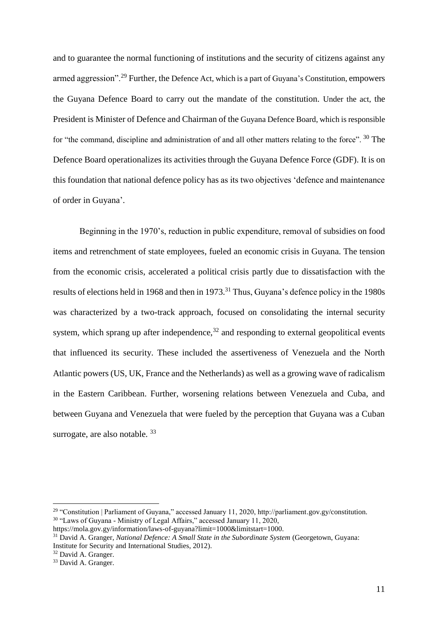and to guarantee the normal functioning of institutions and the security of citizens against any armed aggression".<sup>29</sup> Further, the Defence Act, which is a part of Guyana's Constitution, empowers the Guyana Defence Board to carry out the mandate of the constitution. Under the act, the President is Minister of Defence and Chairman of the Guyana Defence Board, which is responsible for "the command, discipline and administration of and all other matters relating to the force". 30 The Defence Board operationalizes its activities through the Guyana Defence Force (GDF). It is on this foundation that national defence policy has as its two objectives 'defence and maintenance of order in Guyana'.

Beginning in the 1970's, reduction in public expenditure, removal of subsidies on food items and retrenchment of state employees, fueled an economic crisis in Guyana. The tension from the economic crisis, accelerated a political crisis partly due to dissatisfaction with the results of elections held in 1968 and then in 1973.<sup>31</sup> Thus, Guyana's defence policy in the 1980s was characterized by a two-track approach, focused on consolidating the internal security system, which sprang up after independence, $32$  and responding to external geopolitical events that influenced its security. These included the assertiveness of Venezuela and the North Atlantic powers (US, UK, France and the Netherlands) as well as a growing wave of radicalism in the Eastern Caribbean. Further, worsening relations between Venezuela and Cuba, and between Guyana and Venezuela that were fueled by the perception that Guyana was a Cuban surrogate, are also notable. 33

<sup>29</sup> "Constitution | Parliament of Guyana," accessed January 11, 2020, http://parliament.gov.gy/constitution.  $30$  "Laws of Guyana - Ministry of Legal Affairs," accessed January 11, 2020,

https://mola.gov.gy/information/laws-of-guyana?limit=1000&limitstart=1000.

<sup>31</sup> David A. Granger, *National Defence: A Small State in the Subordinate System* (Georgetown, Guyana: Institute for Security and International Studies, 2012).

<sup>32</sup> David A. Granger.

<sup>&</sup>lt;sup>33</sup> David A. Granger.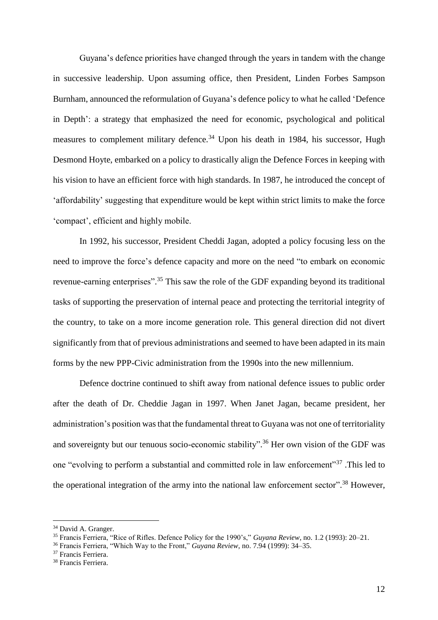Guyana's defence priorities have changed through the years in tandem with the change in successive leadership. Upon assuming office, then President, Linden Forbes Sampson Burnham, announced the reformulation of Guyana's defence policy to what he called 'Defence in Depth': a strategy that emphasized the need for economic, psychological and political measures to complement military defence.<sup>34</sup> Upon his death in 1984, his successor, Hugh Desmond Hoyte, embarked on a policy to drastically align the Defence Forces in keeping with his vision to have an efficient force with high standards. In 1987, he introduced the concept of 'affordability' suggesting that expenditure would be kept within strict limits to make the force 'compact', efficient and highly mobile.

In 1992, his successor, President Cheddi Jagan, adopted a policy focusing less on the need to improve the force's defence capacity and more on the need "to embark on economic revenue-earning enterprises".<sup>35</sup> This saw the role of the GDF expanding beyond its traditional tasks of supporting the preservation of internal peace and protecting the territorial integrity of the country, to take on a more income generation role. This general direction did not divert significantly from that of previous administrations and seemed to have been adapted in its main forms by the new PPP-Civic administration from the 1990s into the new millennium.

Defence doctrine continued to shift away from national defence issues to public order after the death of Dr. Cheddie Jagan in 1997. When Janet Jagan, became president, her administration's position was that the fundamental threat to Guyana was not one of territoriality and sovereignty but our tenuous socio-economic stability". <sup>36</sup> Her own vision of the GDF was one "evolving to perform a substantial and committed role in law enforcement"<sup>37</sup>. This led to the operational integration of the army into the national law enforcement sector".<sup>38</sup> However,

<sup>&</sup>lt;sup>34</sup> David A. Granger.

<sup>35</sup> Francis Ferriera, "Rice of Rifles. Defence Policy for the 1990's," *Guyana Review*, no. 1.2 (1993): 20–21.

<sup>36</sup> Francis Ferriera, "Which Way to the Front," *Guyana Review*, no. 7.94 (1999): 34–35.

<sup>37</sup> Francis Ferriera.

<sup>38</sup> Francis Ferriera.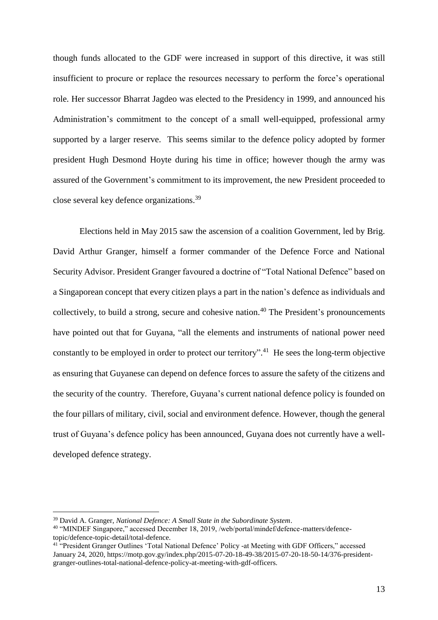though funds allocated to the GDF were increased in support of this directive, it was still insufficient to procure or replace the resources necessary to perform the force's operational role. Her successor Bharrat Jagdeo was elected to the Presidency in 1999, and announced his Administration's commitment to the concept of a small well-equipped, professional army supported by a larger reserve. This seems similar to the defence policy adopted by former president Hugh Desmond Hoyte during his time in office; however though the army was assured of the Government's commitment to its improvement, the new President proceeded to close several key defence organizations.<sup>39</sup>

Elections held in May 2015 saw the ascension of a coalition Government, led by Brig. David Arthur Granger, himself a former commander of the Defence Force and National Security Advisor. President Granger favoured a doctrine of "Total National Defence" based on a Singaporean concept that every citizen plays a part in the nation's defence as individuals and collectively, to build a strong, secure and cohesive nation.<sup>40</sup> The President's pronouncements have pointed out that for Guyana, "all the elements and instruments of national power need constantly to be employed in order to protect our territory".<sup>41</sup> He sees the long-term objective as ensuring that Guyanese can depend on defence forces to assure the safety of the citizens and the security of the country. Therefore, Guyana's current national defence policy is founded on the four pillars of military, civil, social and environment defence. However, though the general trust of Guyana's defence policy has been announced, Guyana does not currently have a welldeveloped defence strategy.

<sup>39</sup> David A. Granger, *National Defence: A Small State in the Subordinate System*.

<sup>40</sup> "MINDEF Singapore," accessed December 18, 2019, /web/portal/mindef/defence-matters/defencetopic/defence-topic-detail/total-defence.

<sup>&</sup>lt;sup>41 "</sup>President Granger Outlines 'Total National Defence' Policy -at Meeting with GDF Officers," accessed January 24, 2020, https://motp.gov.gy/index.php/2015-07-20-18-49-38/2015-07-20-18-50-14/376-presidentgranger-outlines-total-national-defence-policy-at-meeting-with-gdf-officers.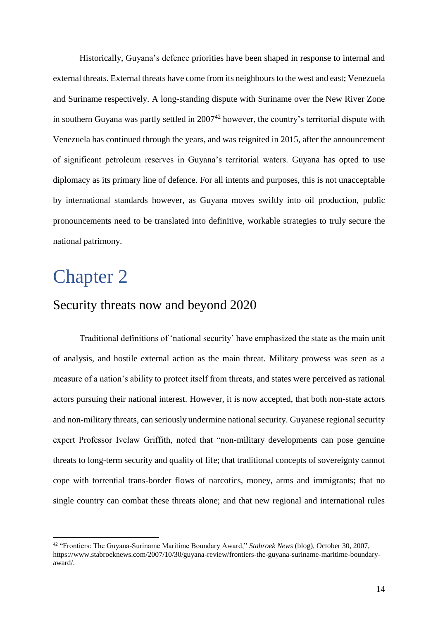Historically, Guyana's defence priorities have been shaped in response to internal and external threats. External threats have come from its neighboursto the west and east; Venezuela and Suriname respectively. A long-standing dispute with Suriname over the New River Zone in southern Guyana was partly settled in  $2007<sup>42</sup>$  however, the country's territorial dispute with Venezuela has continued through the years, and was reignited in 2015, after the announcement of significant petroleum reserves in Guyana's territorial waters. Guyana has opted to use diplomacy as its primary line of defence. For all intents and purposes, this is not unacceptable by international standards however, as Guyana moves swiftly into oil production, public pronouncements need to be translated into definitive, workable strategies to truly secure the national patrimony.

## <span id="page-13-0"></span>Chapter 2

 $\overline{a}$ 

## <span id="page-13-1"></span>Security threats now and beyond 2020

Traditional definitions of 'national security' have emphasized the state as the main unit of analysis, and hostile external action as the main threat. Military prowess was seen as a measure of a nation's ability to protect itself from threats, and states were perceived as rational actors pursuing their national interest. However, it is now accepted, that both non-state actors and non-military threats, can seriously undermine national security. Guyanese regional security expert Professor Ivelaw Griffith, noted that "non-military developments can pose genuine threats to long-term security and quality of life; that traditional concepts of sovereignty cannot cope with torrential trans-border flows of narcotics, money, arms and immigrants; that no single country can combat these threats alone; and that new regional and international rules

<sup>42</sup> "Frontiers: The Guyana-Suriname Maritime Boundary Award," *Stabroek News* (blog), October 30, 2007, https://www.stabroeknews.com/2007/10/30/guyana-review/frontiers-the-guyana-suriname-maritime-boundaryaward/.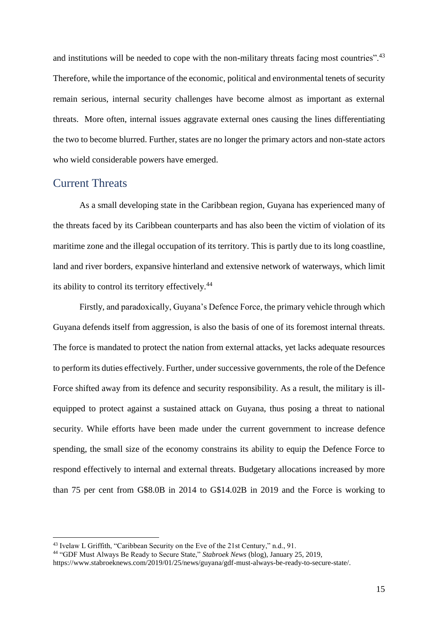and institutions will be needed to cope with the non-military threats facing most countries".<sup>43</sup> Therefore, while the importance of the economic, political and environmental tenets of security remain serious, internal security challenges have become almost as important as external threats. More often, internal issues aggravate external ones causing the lines differentiating the two to become blurred. Further, states are no longer the primary actors and non-state actors who wield considerable powers have emerged.

#### <span id="page-14-0"></span>Current Threats

 $\overline{a}$ 

As a small developing state in the Caribbean region, Guyana has experienced many of the threats faced by its Caribbean counterparts and has also been the victim of violation of its maritime zone and the illegal occupation of its territory. This is partly due to its long coastline, land and river borders, expansive hinterland and extensive network of waterways, which limit its ability to control its territory effectively.<sup>44</sup>

Firstly, and paradoxically, Guyana's Defence Force, the primary vehicle through which Guyana defends itself from aggression, is also the basis of one of its foremost internal threats. The force is mandated to protect the nation from external attacks, yet lacks adequate resources to perform its duties effectively. Further, under successive governments, the role of the Defence Force shifted away from its defence and security responsibility. As a result, the military is illequipped to protect against a sustained attack on Guyana, thus posing a threat to national security. While efforts have been made under the current government to increase defence spending, the small size of the economy constrains its ability to equip the Defence Force to respond effectively to internal and external threats. Budgetary allocations increased by more than 75 per cent from G\$8.0B in 2014 to G\$14.02B in 2019 and the Force is working to

<sup>43</sup> Ivelaw L Griffith, "Caribbean Security on the Eve of the 21st Century," n.d., 91.

<sup>44</sup> "GDF Must Always Be Ready to Secure State," *Stabroek News* (blog), January 25, 2019,

https://www.stabroeknews.com/2019/01/25/news/guyana/gdf-must-always-be-ready-to-secure-state/.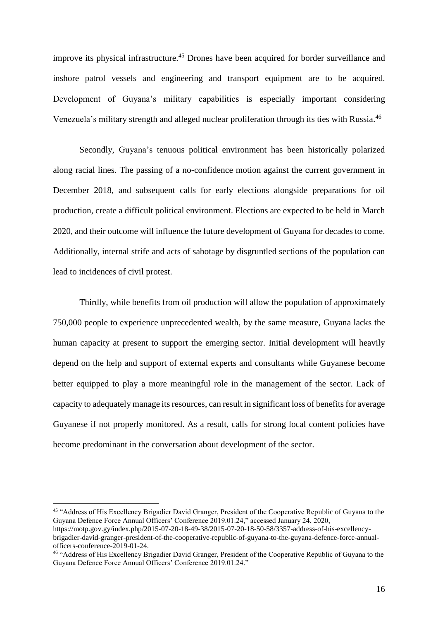improve its physical infrastructure. <sup>45</sup> Drones have been acquired for border surveillance and inshore patrol vessels and engineering and transport equipment are to be acquired. Development of Guyana's military capabilities is especially important considering Venezuela's military strength and alleged nuclear proliferation through its ties with Russia.<sup>46</sup>

Secondly, Guyana's tenuous political environment has been historically polarized along racial lines. The passing of a no-confidence motion against the current government in December 2018, and subsequent calls for early elections alongside preparations for oil production, create a difficult political environment. Elections are expected to be held in March 2020, and their outcome will influence the future development of Guyana for decades to come. Additionally, internal strife and acts of sabotage by disgruntled sections of the population can lead to incidences of civil protest.

Thirdly, while benefits from oil production will allow the population of approximately 750,000 people to experience unprecedented wealth, by the same measure, Guyana lacks the human capacity at present to support the emerging sector. Initial development will heavily depend on the help and support of external experts and consultants while Guyanese become better equipped to play a more meaningful role in the management of the sector. Lack of capacity to adequately manage its resources, can result in significant loss of benefits for average Guyanese if not properly monitored. As a result, calls for strong local content policies have become predominant in the conversation about development of the sector.

<sup>&</sup>lt;sup>45</sup> "Address of His Excellency Brigadier David Granger, President of the Cooperative Republic of Guyana to the Guyana Defence Force Annual Officers' Conference 2019.01.24," accessed January 24, 2020,

https://motp.gov.gy/index.php/2015-07-20-18-49-38/2015-07-20-18-50-58/3357-address-of-his-excellencybrigadier-david-granger-president-of-the-cooperative-republic-of-guyana-to-the-guyana-defence-force-annualofficers-conference-2019-01-24.

<sup>46</sup> "Address of His Excellency Brigadier David Granger, President of the Cooperative Republic of Guyana to the Guyana Defence Force Annual Officers' Conference 2019.01.24."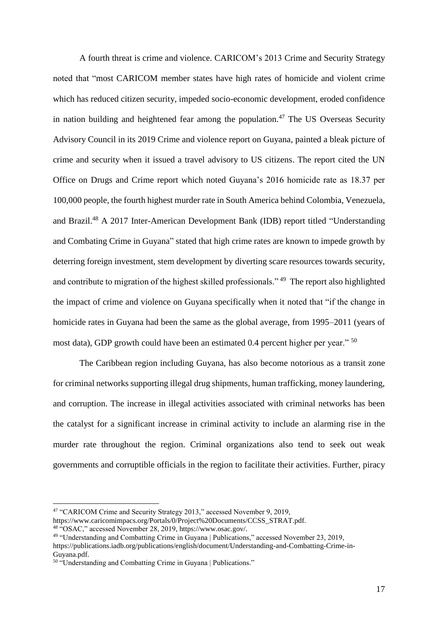A fourth threat is crime and violence. CARICOM's 2013 Crime and Security Strategy noted that "most CARICOM member states have high rates of homicide and violent crime which has reduced citizen security, impeded socio-economic development, eroded confidence in nation building and heightened fear among the population.<sup>47</sup> The US Overseas Security Advisory Council in its 2019 Crime and violence report on Guyana, painted a bleak picture of crime and security when it issued a travel advisory to US citizens. The report cited the UN Office on Drugs and Crime report which noted Guyana's 2016 homicide rate as 18.37 per 100,000 people, the fourth highest murder rate in South America behind Colombia, Venezuela, and Brazil.<sup>48</sup> A 2017 Inter-American Development Bank (IDB) report titled "Understanding and Combating Crime in Guyana" stated that high crime rates are known to impede growth by deterring foreign investment, stem development by diverting scare resources towards security, and contribute to migration of the highest skilled professionals." <sup>49</sup> The report also highlighted the impact of crime and violence on Guyana specifically when it noted that "if the change in homicide rates in Guyana had been the same as the global average, from 1995–2011 (years of most data), GDP growth could have been an estimated 0.4 percent higher per year." <sup>50</sup>

The Caribbean region including Guyana, has also become notorious as a transit zone for criminal networks supporting illegal drug shipments, human trafficking, money laundering, and corruption. The increase in illegal activities associated with criminal networks has been the catalyst for a significant increase in criminal activity to include an alarming rise in the murder rate throughout the region. Criminal organizations also tend to seek out weak governments and corruptible officials in the region to facilitate their activities. Further, piracy

<sup>47</sup> "CARICOM Crime and Security Strategy 2013," accessed November 9, 2019,

https://www.caricomimpacs.org/Portals/0/Project%20Documents/CCSS\_STRAT.pdf.

<sup>48</sup> "OSAC," accessed November 28, 2019, https://www.osac.gov/.

<sup>49</sup> "Understanding and Combatting Crime in Guyana | Publications," accessed November 23, 2019, https://publications.iadb.org/publications/english/document/Understanding-and-Combatting-Crime-in-

Guyana.pdf.

<sup>&</sup>lt;sup>50</sup> "Understanding and Combatting Crime in Guyana | Publications."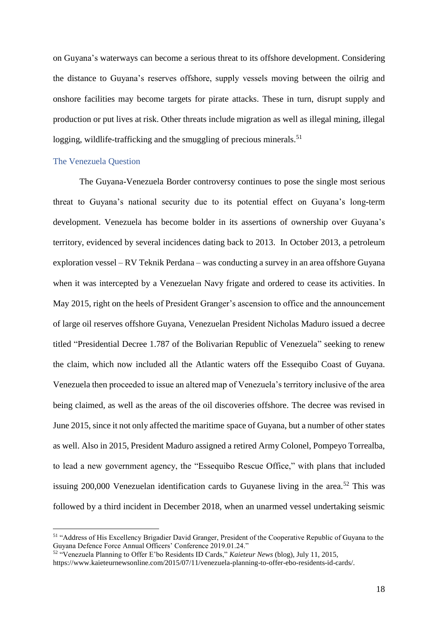on Guyana's waterways can become a serious threat to its offshore development. Considering the distance to Guyana's reserves offshore, supply vessels moving between the oilrig and onshore facilities may become targets for pirate attacks. These in turn, disrupt supply and production or put lives at risk. Other threats include migration as well as illegal mining, illegal logging, wildlife-trafficking and the smuggling of precious minerals.<sup>51</sup>

#### The Venezuela Question

 $\overline{a}$ 

The Guyana-Venezuela Border controversy continues to pose the single most serious threat to Guyana's national security due to its potential effect on Guyana's long-term development. Venezuela has become bolder in its assertions of ownership over Guyana's territory, evidenced by several incidences dating back to 2013. In October 2013, a petroleum exploration vessel – RV Teknik Perdana – was conducting a survey in an area offshore Guyana when it was intercepted by a Venezuelan Navy frigate and ordered to cease its activities. In May 2015, right on the heels of President Granger's ascension to office and the announcement of large oil reserves offshore Guyana, Venezuelan President Nicholas Maduro issued a decree titled "Presidential Decree 1.787 of the Bolivarian Republic of Venezuela" seeking to renew the claim, which now included all the Atlantic waters off the Essequibo Coast of Guyana. Venezuela then proceeded to issue an altered map of Venezuela's territory inclusive of the area being claimed, as well as the areas of the oil discoveries offshore. The decree was revised in June 2015, since it not only affected the maritime space of Guyana, but a number of other states as well. Also in 2015, President Maduro assigned a retired Army Colonel, Pompeyo Torrealba, to lead a new government agency, the "Essequibo Rescue Office," with plans that included issuing  $200,000$  Venezuelan identification cards to Guyanese living in the area.<sup>52</sup> This was followed by a third incident in December 2018, when an unarmed vessel undertaking seismic

<sup>51</sup> "Address of His Excellency Brigadier David Granger, President of the Cooperative Republic of Guyana to the Guyana Defence Force Annual Officers' Conference 2019.01.24."

<sup>52</sup> "Venezuela Planning to Offer E'bo Residents ID Cards," *Kaieteur News* (blog), July 11, 2015,

https://www.kaieteurnewsonline.com/2015/07/11/venezuela-planning-to-offer-ebo-residents-id-cards/.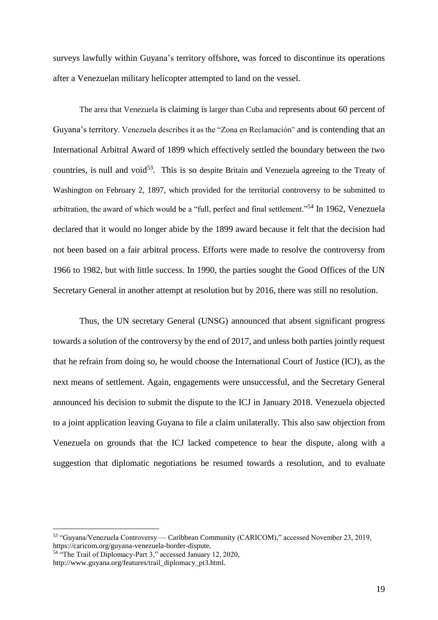surveys lawfully within Guyana's territory offshore, was forced to discontinue its operations after a Venezuelan military helicopter attempted to land on the vessel.

The area that Venezuela is claiming is larger than Cuba and represents about 60 percent of Guyana's territory. Venezuela describes it as the "Zona en Reclamación" and is contending that an International Arbitral Award of 1899 which effectively settled the boundary between the two countries, is null and void<sup>53</sup>. This is so despite Britain and Venezuela agreeing to the Treaty of Washington on February 2, 1897, which provided for the territorial controversy to be submitted to arbitration, the award of which would be a "full, perfect and final settlement."<sup>54</sup> In 1962, Venezuela declared that it would no longer abide by the 1899 award because it felt that the decision had not been based on a fair arbitral process. Efforts were made to resolve the controversy from 1966 to 1982, but with little success. In 1990, the parties sought the Good Offices of the UN Secretary General in another attempt at resolution but by 2016, there was still no resolution.

Thus, the UN secretary General (UNSG) announced that absent significant progress towards a solution of the controversy by the end of 2017, and unless both parties jointly request that he refrain from doing so, he would choose the International Court of Justice (ICJ), as the next means of settlement. Again, engagements were unsuccessful, and the Secretary General announced his decision to submit the dispute to the ICJ in January 2018. Venezuela objected to a joint application leaving Guyana to file a claim unilaterally. This also saw objection from Venezuela on grounds that the ICJ lacked competence to hear the dispute, along with a suggestion that diplomatic negotiations be resumed towards a resolution, and to evaluate

<sup>53</sup> "Guyana/Venezuela Controversy — Caribbean Community (CARICOM)," accessed November 23, 2019, https://caricom.org/guyana-venezuela-border-dispute.

<sup>54</sup> "The Trail of Diplomacy-Part 3," accessed January 12, 2020, http://www.guyana.org/features/trail\_diplomacy\_pt3.html.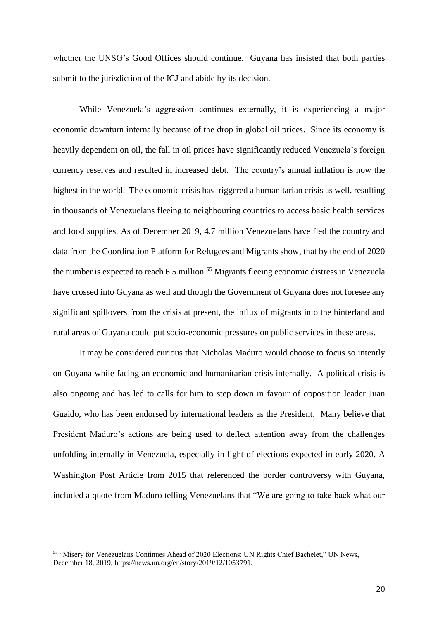whether the UNSG's Good Offices should continue. Guyana has insisted that both parties submit to the jurisdiction of the ICJ and abide by its decision.

While Venezuela's aggression continues externally, it is experiencing a major economic downturn internally because of the drop in global oil prices. Since its economy is heavily dependent on oil, the fall in oil prices have significantly reduced Venezuela's foreign currency reserves and resulted in increased debt. The country's annual inflation is now the highest in the world. The economic crisis has triggered a humanitarian crisis as well, resulting in thousands of Venezuelans fleeing to neighbouring countries to access basic health services and food supplies. As of December 2019, 4.7 million Venezuelans have fled the country and data from the Coordination Platform for Refugees and Migrants show, that by the end of 2020 the number is expected to reach 6.5 million.<sup>55</sup> Migrants fleeing economic distress in Venezuela have crossed into Guyana as well and though the Government of Guyana does not foresee any significant spillovers from the crisis at present, the influx of migrants into the hinterland and rural areas of Guyana could put socio-economic pressures on public services in these areas.

It may be considered curious that Nicholas Maduro would choose to focus so intently on Guyana while facing an economic and humanitarian crisis internally. A political crisis is also ongoing and has led to calls for him to step down in favour of opposition leader Juan Guaido, who has been endorsed by international leaders as the President. Many believe that President Maduro's actions are being used to deflect attention away from the challenges unfolding internally in Venezuela, especially in light of elections expected in early 2020. A Washington Post Article from 2015 that referenced the border controversy with Guyana, included a quote from Maduro telling Venezuelans that "We are going to take back what our

<sup>55</sup> "Misery for Venezuelans Continues Ahead of 2020 Elections: UN Rights Chief Bachelet," UN News, December 18, 2019, https://news.un.org/en/story/2019/12/1053791.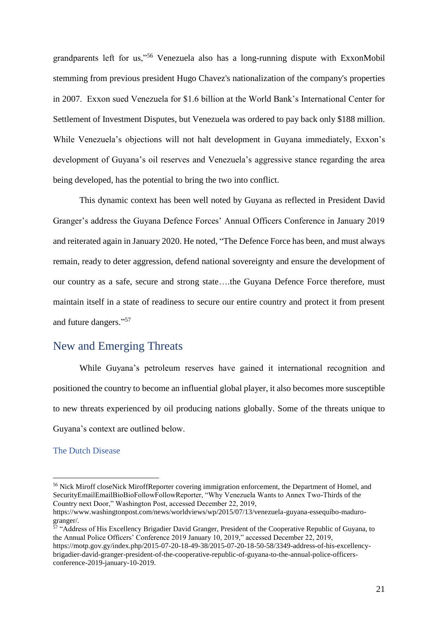grandparents left for us,"<sup>56</sup> Venezuela also has a long-running dispute with ExxonMobil stemming from previous president Hugo Chavez's nationalization of the company's properties in 2007. Exxon sued Venezuela for \$1.6 billion at the World Bank's International Center for Settlement of Investment Disputes, but Venezuela was ordered to pay back only \$188 million. While Venezuela's objections will not halt development in Guyana immediately, Exxon's development of Guyana's oil reserves and Venezuela's aggressive stance regarding the area being developed, has the potential to bring the two into conflict.

This dynamic context has been well noted by Guyana as reflected in President David Granger's address the Guyana Defence Forces' Annual Officers Conference in January 2019 and reiterated again in January 2020. He noted, "The Defence Force has been, and must always remain, ready to deter aggression, defend national sovereignty and ensure the development of our country as a safe, secure and strong state….the Guyana Defence Force therefore, must maintain itself in a state of readiness to secure our entire country and protect it from present and future dangers." 57

## <span id="page-20-0"></span>New and Emerging Threats

While Guyana's petroleum reserves have gained it international recognition and positioned the country to become an influential global player, it also becomes more susceptible to new threats experienced by oil producing nations globally. Some of the threats unique to Guyana's context are outlined below.

#### The Dutch Disease

 $\overline{a}$ 

<sup>57</sup> "Address of His Excellency Brigadier David Granger, President of the Cooperative Republic of Guyana, to the Annual Police Officers' Conference 2019 January 10, 2019," accessed December 22, 2019,

https://motp.gov.gy/index.php/2015-07-20-18-49-38/2015-07-20-18-50-58/3349-address-of-his-excellencybrigadier-david-granger-president-of-the-cooperative-republic-of-guyana-to-the-annual-police-officersconference-2019-january-10-2019.

<sup>&</sup>lt;sup>56</sup> Nick Miroff closeNick MiroffReporter covering immigration enforcement, the Department of Homel, and SecurityEmailEmailBioBioFollowFollowReporter, "Why Venezuela Wants to Annex Two-Thirds of the Country next Door," Washington Post, accessed December 22, 2019,

https://www.washingtonpost.com/news/worldviews/wp/2015/07/13/venezuela-guyana-essequibo-madurogranger/.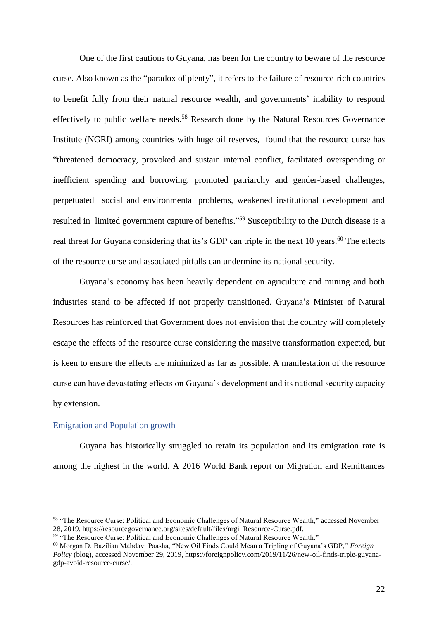One of the first cautions to Guyana, has been for the country to beware of the resource curse. Also known as the "paradox of plenty", it refers to the failure of resource-rich countries to benefit fully from their natural resource wealth, and governments' inability to respond effectively to public welfare needs.<sup>58</sup> Research done by the Natural Resources Governance Institute (NGRI) among countries with huge oil reserves, found that the resource curse has "threatened democracy, provoked and sustain internal conflict, facilitated overspending or inefficient spending and borrowing, promoted patriarchy and gender-based challenges, perpetuated social and environmental problems, weakened institutional development and resulted in limited government capture of benefits."<sup>59</sup> Susceptibility to the Dutch disease is a real threat for Guyana considering that its's GDP can triple in the next 10 years.<sup>60</sup> The effects of the resource curse and associated pitfalls can undermine its national security.

Guyana's economy has been heavily dependent on agriculture and mining and both industries stand to be affected if not properly transitioned. Guyana's Minister of Natural Resources has reinforced that Government does not envision that the country will completely escape the effects of the resource curse considering the massive transformation expected, but is keen to ensure the effects are minimized as far as possible. A manifestation of the resource curse can have devastating effects on Guyana's development and its national security capacity by extension.

#### Emigration and Population growth

 $\overline{a}$ 

Guyana has historically struggled to retain its population and its emigration rate is among the highest in the world. A 2016 World Bank report on Migration and Remittances

<sup>58</sup> "The Resource Curse: Political and Economic Challenges of Natural Resource Wealth," accessed November 28, 2019, https://resourcegovernance.org/sites/default/files/nrgi\_Resource-Curse.pdf.

<sup>&</sup>lt;sup>59</sup> "The Resource Curse: Political and Economic Challenges of Natural Resource Wealth."

<sup>60</sup> Morgan D. Bazilian Mahdavi Paasha, "New Oil Finds Could Mean a Tripling of Guyana's GDP," *Foreign Policy* (blog), accessed November 29, 2019, https://foreignpolicy.com/2019/11/26/new-oil-finds-triple-guyanagdp-avoid-resource-curse/.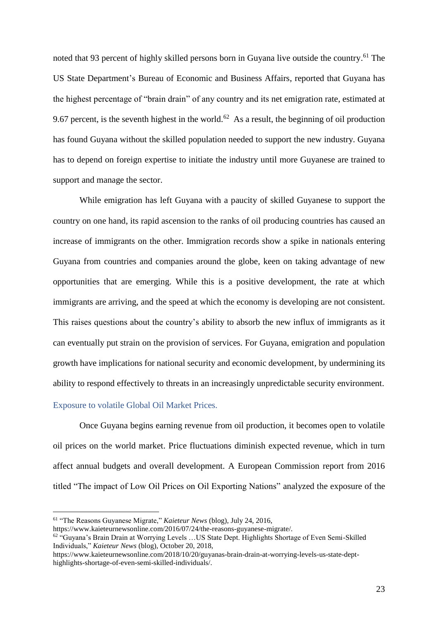noted that 93 percent of highly skilled persons born in Guyana live outside the country.<sup>61</sup> The US State Department's Bureau of Economic and Business Affairs, reported that Guyana has the highest percentage of "brain drain" of any country and its net emigration rate, estimated at 9.67 percent, is the seventh highest in the world.<sup>62</sup> As a result, the beginning of oil production has found Guyana without the skilled population needed to support the new industry. Guyana has to depend on foreign expertise to initiate the industry until more Guyanese are trained to support and manage the sector.

While emigration has left Guyana with a paucity of skilled Guyanese to support the country on one hand, its rapid ascension to the ranks of oil producing countries has caused an increase of immigrants on the other. Immigration records show a spike in nationals entering Guyana from countries and companies around the globe, keen on taking advantage of new opportunities that are emerging. While this is a positive development, the rate at which immigrants are arriving, and the speed at which the economy is developing are not consistent. This raises questions about the country's ability to absorb the new influx of immigrants as it can eventually put strain on the provision of services. For Guyana, emigration and population growth have implications for national security and economic development, by undermining its ability to respond effectively to threats in an increasingly unpredictable security environment.

#### Exposure to volatile Global Oil Market Prices.

 $\overline{a}$ 

Once Guyana begins earning revenue from oil production, it becomes open to volatile oil prices on the world market. Price fluctuations diminish expected revenue, which in turn affect annual budgets and overall development. A European Commission report from 2016 titled "The impact of Low Oil Prices on Oil Exporting Nations" analyzed the exposure of the

<sup>61</sup> "The Reasons Guyanese Migrate," *Kaieteur News* (blog), July 24, 2016,

https://www.kaieteurnewsonline.com/2016/07/24/the-reasons-guyanese-migrate/.

<sup>&</sup>lt;sup>62</sup> "Guyana's Brain Drain at Worrying Levels ... US State Dept. Highlights Shortage of Even Semi-Skilled Individuals," *Kaieteur News* (blog), October 20, 2018,

https://www.kaieteurnewsonline.com/2018/10/20/guyanas-brain-drain-at-worrying-levels-us-state-depthighlights-shortage-of-even-semi-skilled-individuals/.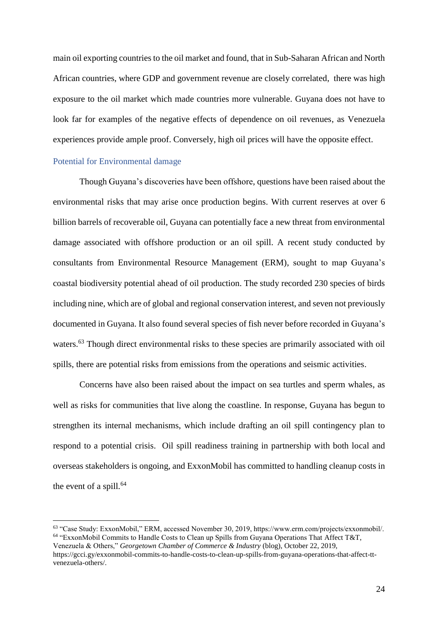main oil exporting countries to the oil market and found, that in Sub-Saharan African and North African countries, where GDP and government revenue are closely correlated, there was high exposure to the oil market which made countries more vulnerable. Guyana does not have to look far for examples of the negative effects of dependence on oil revenues, as Venezuela experiences provide ample proof. Conversely, high oil prices will have the opposite effect.

#### Potential for Environmental damage

 $\overline{a}$ 

Though Guyana's discoveries have been offshore, questions have been raised about the environmental risks that may arise once production begins. With current reserves at over 6 billion barrels of recoverable oil, Guyana can potentially face a new threat from environmental damage associated with offshore production or an oil spill. A recent study conducted by consultants from Environmental Resource Management (ERM), sought to map Guyana's coastal biodiversity potential ahead of oil production. The study recorded 230 species of birds including nine, which are of global and regional conservation interest, and seven not previously documented in Guyana. It also found several species of fish never before recorded in Guyana's waters.<sup>63</sup> Though direct environmental risks to these species are primarily associated with oil spills, there are potential risks from emissions from the operations and seismic activities.

Concerns have also been raised about the impact on sea turtles and sperm whales, as well as risks for communities that live along the coastline. In response, Guyana has begun to strengthen its internal mechanisms, which include drafting an oil spill contingency plan to respond to a potential crisis. Oil spill readiness training in partnership with both local and overseas stakeholders is ongoing, and ExxonMobil has committed to handling cleanup costs in the event of a spill. $64$ 

<sup>63</sup> "Case Study: ExxonMobil," ERM, accessed November 30, 2019, https://www.erm.com/projects/exxonmobil/. <sup>64</sup> "ExxonMobil Commits to Handle Costs to Clean up Spills from Guyana Operations That Affect T&T,

Venezuela & Others," *Georgetown Chamber of Commerce & Industry* (blog), October 22, 2019, https://gcci.gy/exxonmobil-commits-to-handle-costs-to-clean-up-spills-from-guyana-operations-that-affect-ttvenezuela-others/.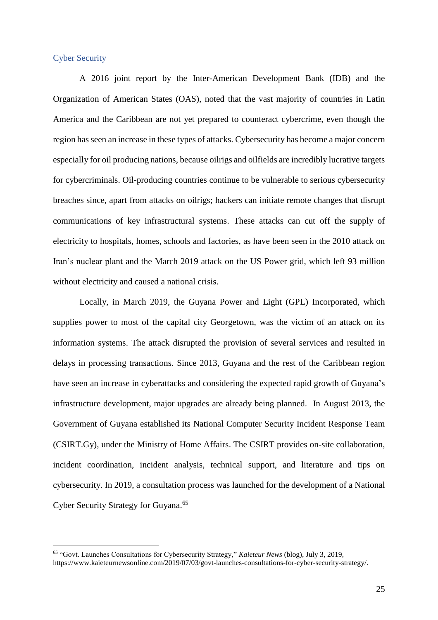#### Cyber Security

 $\overline{a}$ 

A 2016 joint report by the Inter-American Development Bank (IDB) and the Organization of American States (OAS), noted that the vast majority of countries in Latin America and the Caribbean are not yet prepared to counteract cybercrime, even though the region has seen an increase in these types of attacks. Cybersecurity has become a major concern especially for oil producing nations, because oilrigs and oilfields are incredibly lucrative targets for cybercriminals. Oil-producing countries continue to be vulnerable to serious cybersecurity breaches since, apart from attacks on oilrigs; hackers can initiate remote changes that disrupt communications of key infrastructural systems. These attacks can cut off the supply of electricity to hospitals, homes, schools and factories, as have been seen in the 2010 attack on Iran's nuclear plant and the March 2019 attack on the US Power grid, which left 93 million without electricity and caused a national crisis.

Locally, in March 2019, the Guyana Power and Light (GPL) Incorporated, which supplies power to most of the capital city Georgetown, was the victim of an attack on its information systems. The attack disrupted the provision of several services and resulted in delays in processing transactions. Since 2013, Guyana and the rest of the Caribbean region have seen an increase in cyberattacks and considering the expected rapid growth of Guyana's infrastructure development, major upgrades are already being planned. In August 2013, the Government of Guyana established its National Computer Security Incident Response Team (CSIRT.Gy), under the Ministry of Home Affairs. The CSIRT provides on-site collaboration, incident coordination, incident analysis, technical support, and literature and tips on cybersecurity. In 2019, a consultation process was launched for the development of a National Cyber Security Strategy for Guyana. 65

<sup>65</sup> "Govt. Launches Consultations for Cybersecurity Strategy," *Kaieteur News* (blog), July 3, 2019, https://www.kaieteurnewsonline.com/2019/07/03/govt-launches-consultations-for-cyber-security-strategy/.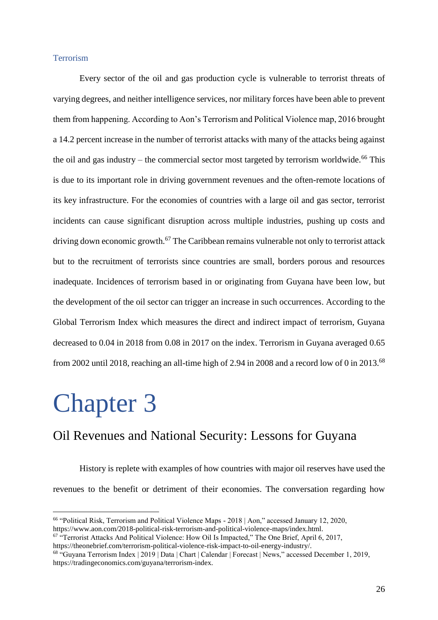#### **Terrorism**

Every sector of the oil and gas production cycle is vulnerable to terrorist threats of varying degrees, and neither intelligence services, nor military forces have been able to prevent them from happening. According to Aon's Terrorism and Political Violence map, 2016 brought a 14.2 percent increase in the number of terrorist attacks with many of the attacks being against the oil and gas industry – the commercial sector most targeted by terrorism worldwide.<sup>66</sup> This is due to its important role in driving government revenues and the often-remote locations of its key infrastructure. For the economies of countries with a large oil and gas sector, terrorist incidents can cause significant disruption across multiple industries, pushing up costs and driving down economic growth.<sup>67</sup> The Caribbean remains vulnerable not only to terrorist attack but to the recruitment of terrorists since countries are small, borders porous and resources inadequate. Incidences of terrorism based in or originating from Guyana have been low, but the development of the oil sector can trigger an increase in such occurrences. According to the Global Terrorism Index which measures the direct and indirect impact of terrorism, Guyana decreased to 0.04 in 2018 from 0.08 in 2017 on the index. Terrorism in Guyana averaged 0.65 from 2002 until 2018, reaching an all-time high of 2.94 in 2008 and a record low of 0 in 2013.<sup>68</sup>

# <span id="page-25-0"></span>Chapter 3

 $\overline{a}$ 

## <span id="page-25-1"></span>Oil Revenues and National Security: Lessons for Guyana

History is replete with examples of how countries with major oil reserves have used the revenues to the benefit or detriment of their economies. The conversation regarding how

<sup>66</sup> "Political Risk, Terrorism and Political Violence Maps - 2018 | Aon," accessed January 12, 2020, https://www.aon.com/2018-political-risk-terrorism-and-political-violence-maps/index.html.

<sup>&</sup>lt;sup>67</sup> "Terrorist Attacks And Political Violence: How Oil Is Impacted," The One Brief, April 6, 2017, https://theonebrief.com/terrorism-political-violence-risk-impact-to-oil-energy-industry/.

<sup>68</sup> "Guyana Terrorism Index | 2019 | Data | Chart | Calendar | Forecast | News," accessed December 1, 2019, https://tradingeconomics.com/guyana/terrorism-index.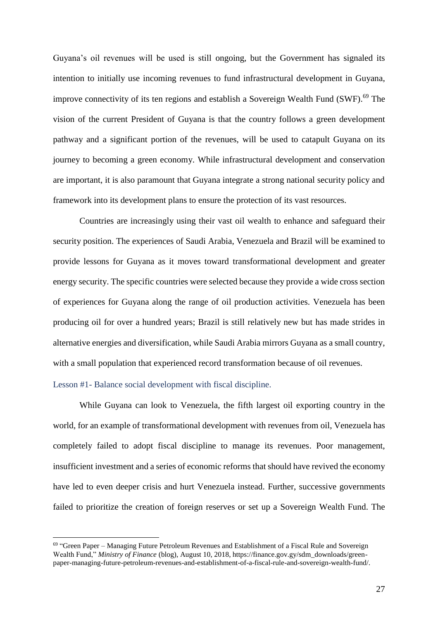Guyana's oil revenues will be used is still ongoing, but the Government has signaled its intention to initially use incoming revenues to fund infrastructural development in Guyana, improve connectivity of its ten regions and establish a Sovereign Wealth Fund (SWF). <sup>69</sup> The vision of the current President of Guyana is that the country follows a green development pathway and a significant portion of the revenues, will be used to catapult Guyana on its journey to becoming a green economy. While infrastructural development and conservation are important, it is also paramount that Guyana integrate a strong national security policy and framework into its development plans to ensure the protection of its vast resources.

Countries are increasingly using their vast oil wealth to enhance and safeguard their security position. The experiences of Saudi Arabia, Venezuela and Brazil will be examined to provide lessons for Guyana as it moves toward transformational development and greater energy security. The specific countries were selected because they provide a wide cross section of experiences for Guyana along the range of oil production activities. Venezuela has been producing oil for over a hundred years; Brazil is still relatively new but has made strides in alternative energies and diversification, while Saudi Arabia mirrors Guyana as a small country, with a small population that experienced record transformation because of oil revenues.

#### <span id="page-26-0"></span>Lesson #1- Balance social development with fiscal discipline.

 $\overline{a}$ 

While Guyana can look to Venezuela, the fifth largest oil exporting country in the world, for an example of transformational development with revenues from oil, Venezuela has completely failed to adopt fiscal discipline to manage its revenues. Poor management, insufficient investment and a series of economic reforms that should have revived the economy have led to even deeper crisis and hurt Venezuela instead. Further, successive governments failed to prioritize the creation of foreign reserves or set up a Sovereign Wealth Fund. The

<sup>69</sup> "Green Paper – Managing Future Petroleum Revenues and Establishment of a Fiscal Rule and Sovereign Wealth Fund," *Ministry of Finance* (blog), August 10, 2018, https://finance.gov.gy/sdm\_downloads/greenpaper-managing-future-petroleum-revenues-and-establishment-of-a-fiscal-rule-and-sovereign-wealth-fund/.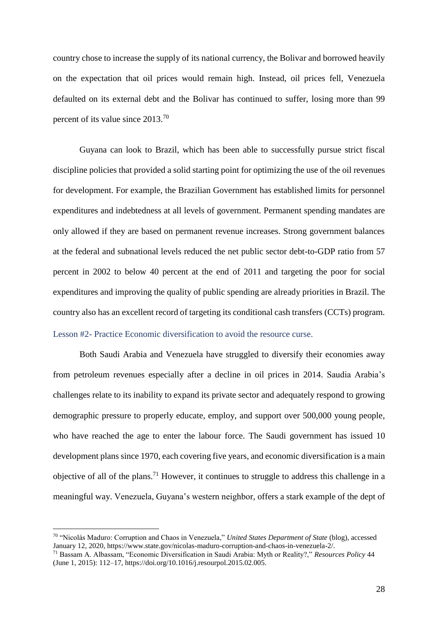country chose to increase the supply of its national currency, the Bolivar and borrowed heavily on the expectation that oil prices would remain high. Instead, oil prices fell, Venezuela defaulted on its external debt and the Bolivar has continued to suffer, losing more than 99 percent of its value since 2013.<sup>70</sup>

Guyana can look to Brazil, which has been able to successfully pursue strict fiscal discipline policies that provided a solid starting point for optimizing the use of the oil revenues for development. For example, the Brazilian Government has established limits for personnel expenditures and indebtedness at all levels of government. Permanent spending mandates are only allowed if they are based on permanent revenue increases. Strong government balances at the federal and subnational levels reduced the net public sector debt-to-GDP ratio from 57 percent in 2002 to below 40 percent at the end of 2011 and targeting the poor for social expenditures and improving the quality of public spending are already priorities in Brazil. The country also has an excellent record of targeting its conditional cash transfers (CCTs) program. Lesson #2- Practice Economic diversification to avoid the resource curse.

<span id="page-27-0"></span>Both Saudi Arabia and Venezuela have struggled to diversify their economies away from petroleum revenues especially after a decline in oil prices in 2014. Saudia Arabia's challenges relate to its inability to expand its private sector and adequately respond to growing demographic pressure to properly educate, employ, and support over 500,000 young people, who have reached the age to enter the labour force. The Saudi government has issued 10 development plans since 1970, each covering five years, and economic diversification is a main objective of all of the plans.<sup>71</sup> However, it continues to struggle to address this challenge in a meaningful way. Venezuela, Guyana's western neighbor, offers a stark example of the dept of

<sup>70</sup> "Nicolás Maduro: Corruption and Chaos in Venezuela," *United States Department of State* (blog), accessed January 12, 2020, https://www.state.gov/nicolas-maduro-corruption-and-chaos-in-venezuela-2/.

<sup>71</sup> Bassam A. Albassam, "Economic Diversification in Saudi Arabia: Myth or Reality?," *Resources Policy* 44 (June 1, 2015): 112–17, https://doi.org/10.1016/j.resourpol.2015.02.005.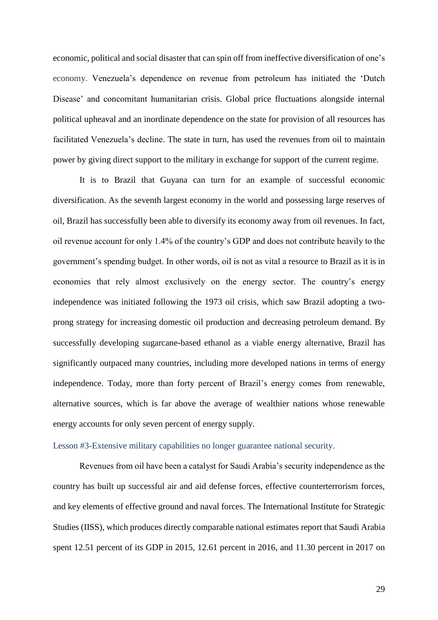economic, political and social disaster that can spin off from ineffective diversification of one's economy. Venezuela's dependence on revenue from petroleum has initiated the 'Dutch Disease' and concomitant humanitarian crisis. Global price fluctuations alongside internal political upheaval and an inordinate dependence on the state for provision of all resources has facilitated Venezuela's decline. The state in turn, has used the revenues from oil to maintain power by giving direct support to the military in exchange for support of the current regime.

It is to Brazil that Guyana can turn for an example of successful economic diversification. As the seventh largest economy in the world and possessing large reserves of oil, Brazil has successfully been able to diversify its economy away from oil revenues. In fact, oil revenue account for only 1.4% of the country's GDP and does not contribute heavily to the government's spending budget. In other words, oil is not as vital a resource to Brazil as it is in economies that rely almost exclusively on the energy sector. The country's energy independence was initiated following the 1973 oil crisis, which saw Brazil adopting a twoprong strategy for increasing domestic oil production and decreasing petroleum demand. By successfully developing sugarcane-based ethanol as a viable energy alternative, Brazil has significantly outpaced many countries, including more developed nations in terms of energy independence. Today, more than forty percent of Brazil's energy comes from renewable, alternative sources, which is far above the average of wealthier nations whose renewable energy accounts for only seven percent of energy supply.

#### <span id="page-28-0"></span>Lesson #3-Extensive military capabilities no longer guarantee national security.

Revenues from oil have been a catalyst for Saudi Arabia's security independence as the country has built up successful air and aid defense forces, effective counterterrorism forces, and key elements of effective ground and naval forces. The International Institute for Strategic Studies (IISS), which produces directly comparable national estimates report that Saudi Arabia spent 12.51 percent of its GDP in 2015, 12.61 percent in 2016, and 11.30 percent in 2017 on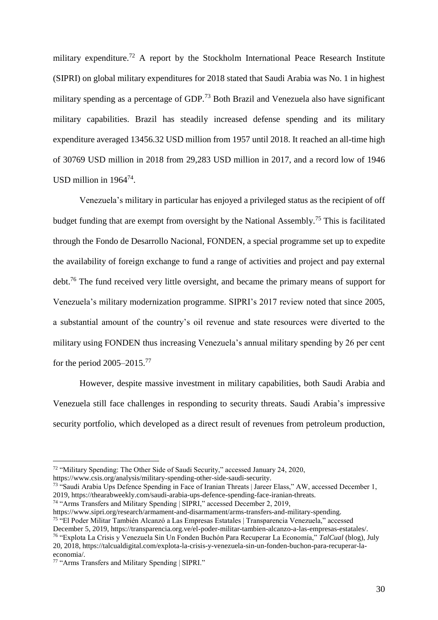military expenditure.<sup>72</sup> A report by the Stockholm International Peace Research Institute (SIPRI) on global military expenditures for 2018 stated that Saudi Arabia was No. 1 in highest military spending as a percentage of GDP.<sup>73</sup> Both Brazil and Venezuela also have significant military capabilities. Brazil has steadily increased defense spending and its military expenditure averaged 13456.32 USD million from 1957 until 2018. It reached an all-time high of 30769 USD million in 2018 from 29,283 USD million in 2017, and a record low of 1946 USD million in 1964<sup>74</sup>.

Venezuela's military in particular has enjoyed a privileged status as the recipient of off budget funding that are exempt from oversight by the National Assembly.<sup>75</sup> This is facilitated through the Fondo de Desarrollo Nacional, FONDEN, a special programme set up to expedite the availability of foreign exchange to fund a range of activities and project and pay external debt.<sup>76</sup> The fund received very little oversight, and became the primary means of support for Venezuela's military modernization programme. SIPRI's 2017 review noted that since 2005, a substantial amount of the country's oil revenue and state resources were diverted to the military using FONDEN thus increasing Venezuela's annual military spending by 26 per cent for the period  $2005-2015$ .<sup>77</sup>

However, despite massive investment in military capabilities, both Saudi Arabia and Venezuela still face challenges in responding to security threats. Saudi Arabia's impressive security portfolio, which developed as a direct result of revenues from petroleum production,

<sup>72</sup> "Military Spending: The Other Side of Saudi Security," accessed January 24, 2020,

https://www.csis.org/analysis/military-spending-other-side-saudi-security.

<sup>73</sup> "Saudi Arabia Ups Defence Spending in Face of Iranian Threats | Jareer Elass," AW, accessed December 1, 2019, https://thearabweekly.com/saudi-arabia-ups-defence-spending-face-iranian-threats.

<sup>74</sup> "Arms Transfers and Military Spending | SIPRI," accessed December 2, 2019,

https://www.sipri.org/research/armament-and-disarmament/arms-transfers-and-military-spending.

<sup>75</sup> "El Poder Militar También Alcanzó a Las Empresas Estatales | Transparencia Venezuela," accessed December 5, 2019, https://transparencia.org.ve/el-poder-militar-tambien-alcanzo-a-las-empresas-estatales/.

<sup>76</sup> "Explota La Crisis y Venezuela Sin Un Fonden Buchón Para Recuperar La Economía," *TalCual* (blog), July 20, 2018, https://talcualdigital.com/explota-la-crisis-y-venezuela-sin-un-fonden-buchon-para-recuperar-laeconomia/.

<sup>77</sup> "Arms Transfers and Military Spending | SIPRI."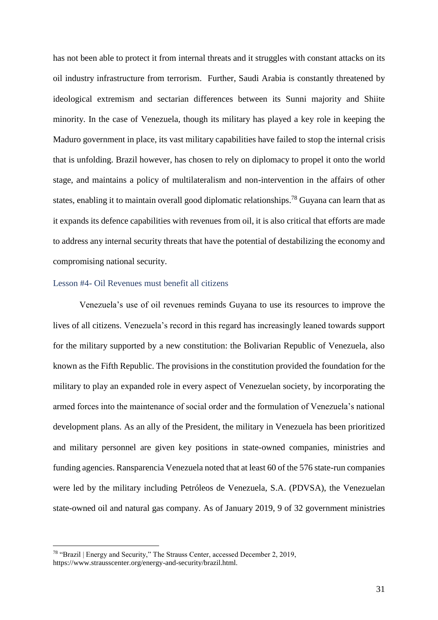has not been able to protect it from internal threats and it struggles with constant attacks on its oil industry infrastructure from terrorism. Further, Saudi Arabia is constantly threatened by ideological extremism and sectarian differences between its Sunni majority and Shiite minority. In the case of Venezuela, though its military has played a key role in keeping the Maduro government in place, its vast military capabilities have failed to stop the internal crisis that is unfolding. Brazil however, has chosen to rely on diplomacy to propel it onto the world stage, and maintains a policy of multilateralism and non-intervention in the affairs of other states, enabling it to maintain overall good diplomatic relationships.<sup>78</sup> Guyana can learn that as it expands its defence capabilities with revenues from oil, it is also critical that efforts are made to address any internal security threats that have the potential of destabilizing the economy and compromising national security.

#### <span id="page-30-0"></span>Lesson #4- Oil Revenues must benefit all citizens

Venezuela's use of oil revenues reminds Guyana to use its resources to improve the lives of all citizens. Venezuela's record in this regard has increasingly leaned towards support for the military supported by a new constitution: the Bolivarian Republic of Venezuela, also known as the Fifth Republic. The provisions in the constitution provided the foundation for the military to play an expanded role in every aspect of Venezuelan society, by incorporating the armed forces into the maintenance of social order and the formulation of Venezuela's national development plans. As an ally of the President, the military in Venezuela has been prioritized and military personnel are given key positions in state-owned companies, ministries and funding agencies. Ransparencia Venezuela noted that at least 60 of the 576 state-run companies were led by the military including Petróleos de Venezuela, S.A. (PDVSA), the Venezuelan state-owned oil and natural gas company. As of January 2019, 9 of 32 government ministries

<sup>78</sup> "Brazil | Energy and Security," The Strauss Center, accessed December 2, 2019, https://www.strausscenter.org/energy-and-security/brazil.html.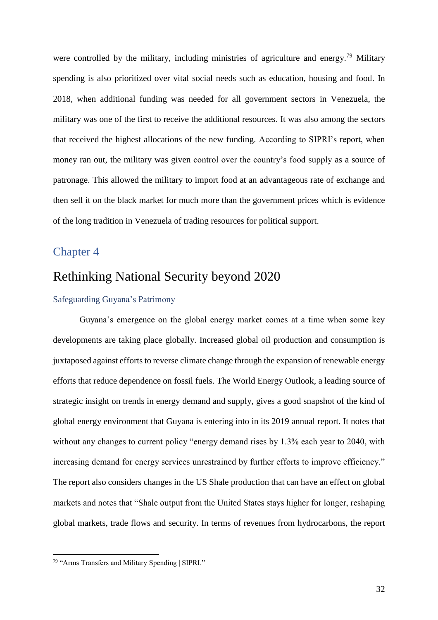were controlled by the military, including ministries of agriculture and energy.<sup>79</sup> Military spending is also prioritized over vital social needs such as education, housing and food. In 2018, when additional funding was needed for all government sectors in Venezuela, the military was one of the first to receive the additional resources. It was also among the sectors that received the highest allocations of the new funding. According to SIPRI's report, when money ran out, the military was given control over the country's food supply as a source of patronage. This allowed the military to import food at an advantageous rate of exchange and then sell it on the black market for much more than the government prices which is evidence of the long tradition in Venezuela of trading resources for political support.

### <span id="page-31-1"></span><span id="page-31-0"></span>Chapter 4

## Rethinking National Security beyond 2020

#### <span id="page-31-2"></span>Safeguarding Guyana's Patrimony

Guyana's emergence on the global energy market comes at a time when some key developments are taking place globally. Increased global oil production and consumption is juxtaposed against efforts to reverse climate change through the expansion of renewable energy efforts that reduce dependence on fossil fuels. The World Energy Outlook, a leading source of strategic insight on trends in energy demand and supply, gives a good snapshot of the kind of global energy environment that Guyana is entering into in its 2019 annual report. It notes that without any changes to current policy "energy demand rises by 1.3% each year to 2040, with increasing demand for energy services unrestrained by further efforts to improve efficiency." The report also considers changes in the US Shale production that can have an effect on global markets and notes that "Shale output from the United States stays higher for longer, reshaping global markets, trade flows and security. In terms of revenues from hydrocarbons, the report

<sup>&</sup>lt;sup>79</sup> "Arms Transfers and Military Spending | SIPRI."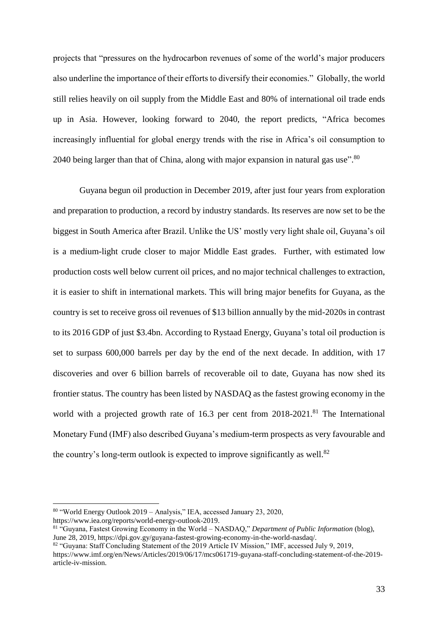projects that "pressures on the hydrocarbon revenues of some of the world's major producers also underline the importance of their efforts to diversify their economies." Globally, the world still relies heavily on oil supply from the Middle East and 80% of international oil trade ends up in Asia. However, looking forward to 2040, the report predicts, "Africa becomes increasingly influential for global energy trends with the rise in Africa's oil consumption to 2040 being larger than that of China, along with major expansion in natural gas use". $^{80}$ 

Guyana begun oil production in December 2019, after just four years from exploration and preparation to production, a record by industry standards. Its reserves are now set to be the biggest in South America after Brazil. Unlike the US' mostly very light shale oil, Guyana's oil is a medium-light crude closer to major Middle East grades. Further, with estimated low production costs well below current oil prices, and no major technical challenges to extraction, it is easier to shift in international markets. This will bring major benefits for Guyana, as the country is set to receive gross oil revenues of \$13 billion annually by the mid-2020s in contrast to its 2016 GDP of just \$3.4bn. According to Rystaad Energy, Guyana's total oil production is set to surpass 600,000 barrels per day by the end of the next decade. In addition, with 17 discoveries and over 6 billion barrels of recoverable oil to date, Guyana has now shed its frontier status. The country has been listed by NASDAQ as the fastest growing economy in the world with a projected growth rate of 16.3 per cent from 2018-2021.<sup>81</sup> The International Monetary Fund (IMF) also described Guyana's medium-term prospects as very favourable and the country's long-term outlook is expected to improve significantly as well.<sup>82</sup>

<sup>80</sup> "World Energy Outlook 2019 – Analysis," IEA, accessed January 23, 2020, https://www.iea.org/reports/world-energy-outlook-2019.

<sup>81</sup> "Guyana, Fastest Growing Economy in the World – NASDAQ," *Department of Public Information* (blog), June 28, 2019, https://dpi.gov.gy/guyana-fastest-growing-economy-in-the-world-nasdaq/.

<sup>82 &</sup>quot;Guyana: Staff Concluding Statement of the 2019 Article IV Mission," IMF, accessed July 9, 2019, https://www.imf.org/en/News/Articles/2019/06/17/mcs061719-guyana-staff-concluding-statement-of-the-2019 article-iv-mission.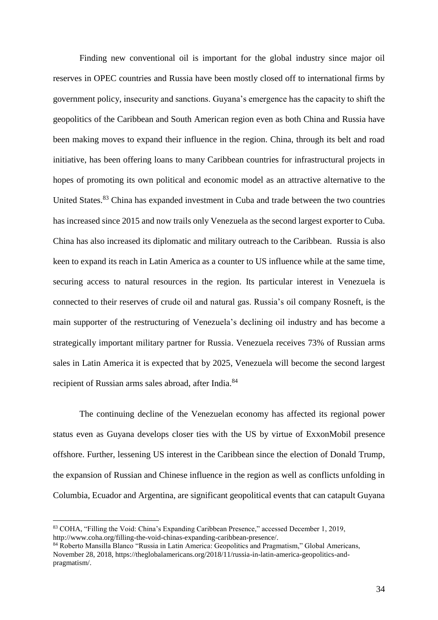Finding new conventional oil is important for the global industry since major oil reserves in OPEC countries and Russia have been mostly closed off to international firms by government policy, insecurity and sanctions. Guyana's emergence has the capacity to shift the geopolitics of the Caribbean and South American region even as both China and Russia have been making moves to expand their influence in the region. China, through its belt and road initiative, has been offering loans to many Caribbean countries for infrastructural projects in hopes of promoting its own political and economic model as an attractive alternative to the United States.<sup>83</sup> China has expanded investment in Cuba and trade between the two countries has increased since 2015 and now trails only Venezuela as the second largest exporter to Cuba. China has also increased its diplomatic and military outreach to the Caribbean. Russia is also keen to expand its reach in Latin America as a counter to US influence while at the same time, securing access to natural resources in the region. Its particular interest in Venezuela is connected to their reserves of crude oil and natural gas. Russia's oil company Rosneft, is the main supporter of the restructuring of Venezuela's declining oil industry and has become a strategically important military partner for Russia. Venezuela receives 73% of Russian arms sales in Latin America it is expected that by 2025, Venezuela will become the second largest recipient of Russian arms sales abroad, after India.<sup>84</sup>

The continuing decline of the Venezuelan economy has affected its regional power status even as Guyana develops closer ties with the US by virtue of ExxonMobil presence offshore. Further, lessening US interest in the Caribbean since the election of Donald Trump, the expansion of Russian and Chinese influence in the region as well as conflicts unfolding in Columbia, Ecuador and Argentina, are significant geopolitical events that can catapult Guyana

<sup>83</sup> COHA, "Filling the Void: China's Expanding Caribbean Presence," accessed December 1, 2019, http://www.coha.org/filling-the-void-chinas-expanding-caribbean-presence/.

<sup>84</sup> Roberto Mansilla Blanco "Russia in Latin America: Geopolitics and Pragmatism," Global Americans, November 28, 2018, https://theglobalamericans.org/2018/11/russia-in-latin-america-geopolitics-andpragmatism/.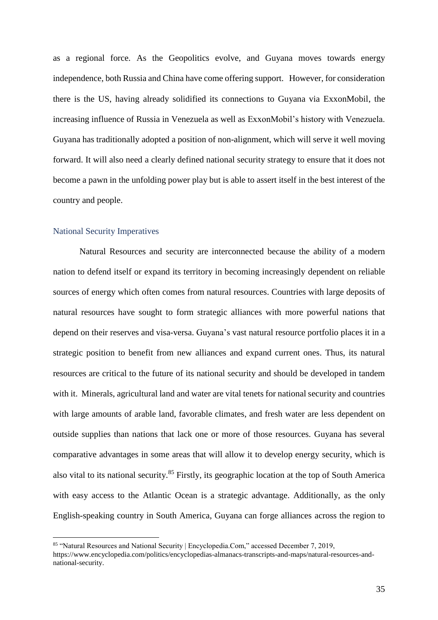as a regional force. As the Geopolitics evolve, and Guyana moves towards energy independence, both Russia and China have come offering support. However, for consideration there is the US, having already solidified its connections to Guyana via ExxonMobil, the increasing influence of Russia in Venezuela as well as ExxonMobil's history with Venezuela. Guyana has traditionally adopted a position of non-alignment, which will serve it well moving forward. It will also need a clearly defined national security strategy to ensure that it does not become a pawn in the unfolding power play but is able to assert itself in the best interest of the country and people.

#### <span id="page-34-0"></span>National Security Imperatives

Natural Resources and security are interconnected because the ability of a modern nation to defend itself or expand its territory in becoming increasingly dependent on reliable sources of energy which often comes from natural resources. Countries with large deposits of natural resources have sought to form strategic alliances with more powerful nations that depend on their reserves and visa-versa. Guyana's vast natural resource portfolio places it in a strategic position to benefit from new alliances and expand current ones. Thus, its natural resources are critical to the future of its national security and should be developed in tandem with it. Minerals, agricultural land and water are vital tenets for national security and countries with large amounts of arable land, favorable climates, and fresh water are less dependent on outside supplies than nations that lack one or more of those resources. Guyana has several comparative advantages in some areas that will allow it to develop energy security, which is also vital to its national security.<sup>85</sup> Firstly, its geographic location at the top of South America with easy access to the Atlantic Ocean is a strategic advantage. Additionally, as the only English-speaking country in South America, Guyana can forge alliances across the region to

<sup>85 &</sup>quot;Natural Resources and National Security | Encyclopedia.Com," accessed December 7, 2019, https://www.encyclopedia.com/politics/encyclopedias-almanacs-transcripts-and-maps/natural-resources-and-

national-security.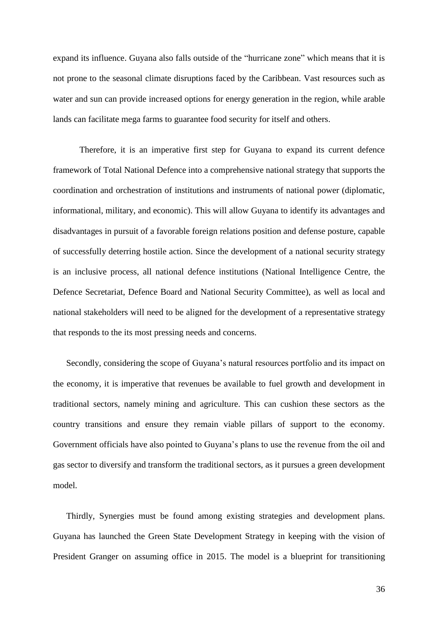expand its influence. Guyana also falls outside of the "hurricane zone" which means that it is not prone to the seasonal climate disruptions faced by the Caribbean. Vast resources such as water and sun can provide increased options for energy generation in the region, while arable lands can facilitate mega farms to guarantee food security for itself and others.

Therefore, it is an imperative first step for Guyana to expand its current defence framework of Total National Defence into a comprehensive national strategy that supports the coordination and orchestration of institutions and instruments of national power (diplomatic, informational, military, and economic). This will allow Guyana to identify its advantages and disadvantages in pursuit of a favorable foreign relations position and defense posture, capable of successfully deterring hostile action. Since the development of a national security strategy is an inclusive process, all national defence institutions (National Intelligence Centre, the Defence Secretariat, Defence Board and National Security Committee), as well as local and national stakeholders will need to be aligned for the development of a representative strategy that responds to the its most pressing needs and concerns.

Secondly, considering the scope of Guyana's natural resources portfolio and its impact on the economy, it is imperative that revenues be available to fuel growth and development in traditional sectors, namely mining and agriculture. This can cushion these sectors as the country transitions and ensure they remain viable pillars of support to the economy. Government officials have also pointed to Guyana's plans to use the revenue from the oil and gas sector to diversify and transform the traditional sectors, as it pursues a green development model.

Thirdly, Synergies must be found among existing strategies and development plans. Guyana has launched the Green State Development Strategy in keeping with the vision of President Granger on assuming office in 2015. The model is a blueprint for transitioning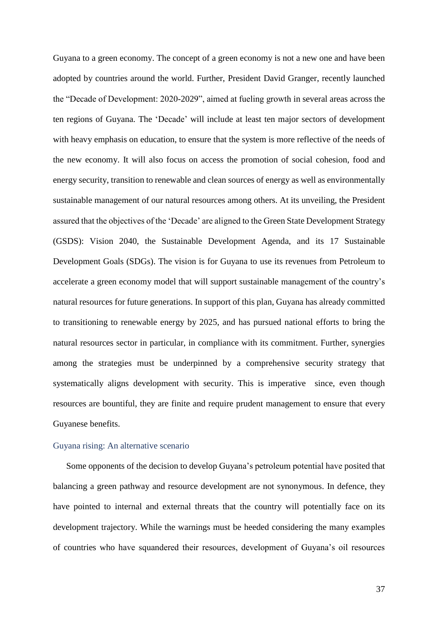Guyana to a green economy. The concept of a green economy is not a new one and have been adopted by countries around the world. Further, President David Granger, recently launched the "Decade of Development: 2020-2029", aimed at fueling growth in several areas across the ten regions of Guyana. The 'Decade' will include at least ten major sectors of development with heavy emphasis on education, to ensure that the system is more reflective of the needs of the new economy. It will also focus on access the promotion of social cohesion, food and energy security, transition to renewable and clean sources of energy as well as environmentally sustainable management of our natural resources among others. At its unveiling, the President assured that the objectives of the 'Decade' are aligned to the Green State Development Strategy (GSDS): Vision 2040, the Sustainable Development Agenda, and its 17 Sustainable Development Goals (SDGs). The vision is for Guyana to use its revenues from Petroleum to accelerate a green economy model that will support sustainable management of the country's natural resources for future generations. In support of this plan, Guyana has already committed to transitioning to renewable energy by 2025, and has pursued national efforts to bring the natural resources sector in particular, in compliance with its commitment. Further, synergies among the strategies must be underpinned by a comprehensive security strategy that systematically aligns development with security. This is imperative since, even though resources are bountiful, they are finite and require prudent management to ensure that every Guyanese benefits.

#### <span id="page-36-0"></span>Guyana rising: An alternative scenario

Some opponents of the decision to develop Guyana's petroleum potential have posited that balancing a green pathway and resource development are not synonymous. In defence, they have pointed to internal and external threats that the country will potentially face on its development trajectory. While the warnings must be heeded considering the many examples of countries who have squandered their resources, development of Guyana's oil resources

37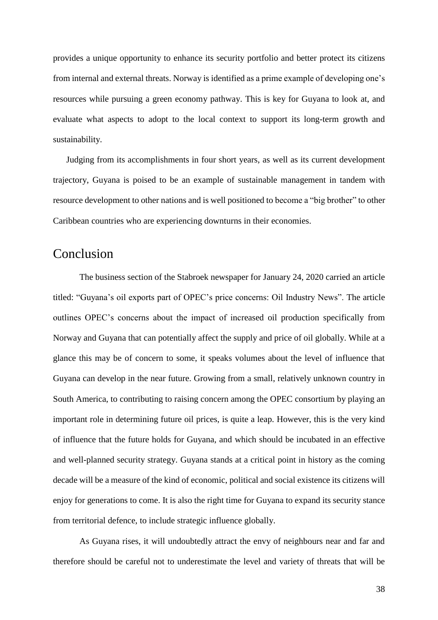provides a unique opportunity to enhance its security portfolio and better protect its citizens from internal and external threats. Norway is identified as a prime example of developing one's resources while pursuing a green economy pathway. This is key for Guyana to look at, and evaluate what aspects to adopt to the local context to support its long-term growth and sustainability.

Judging from its accomplishments in four short years, as well as its current development trajectory, Guyana is poised to be an example of sustainable management in tandem with resource development to other nations and is well positioned to become a "big brother" to other Caribbean countries who are experiencing downturns in their economies.

## <span id="page-37-0"></span>Conclusion

The business section of the Stabroek newspaper for January 24, 2020 carried an article titled: "Guyana's oil exports part of OPEC's price concerns: Oil Industry News". The article outlines OPEC's concerns about the impact of increased oil production specifically from Norway and Guyana that can potentially affect the supply and price of oil globally. While at a glance this may be of concern to some, it speaks volumes about the level of influence that Guyana can develop in the near future. Growing from a small, relatively unknown country in South America, to contributing to raising concern among the OPEC consortium by playing an important role in determining future oil prices, is quite a leap. However, this is the very kind of influence that the future holds for Guyana, and which should be incubated in an effective and well-planned security strategy. Guyana stands at a critical point in history as the coming decade will be a measure of the kind of economic, political and social existence its citizens will enjoy for generations to come. It is also the right time for Guyana to expand its security stance from territorial defence, to include strategic influence globally.

As Guyana rises, it will undoubtedly attract the envy of neighbours near and far and therefore should be careful not to underestimate the level and variety of threats that will be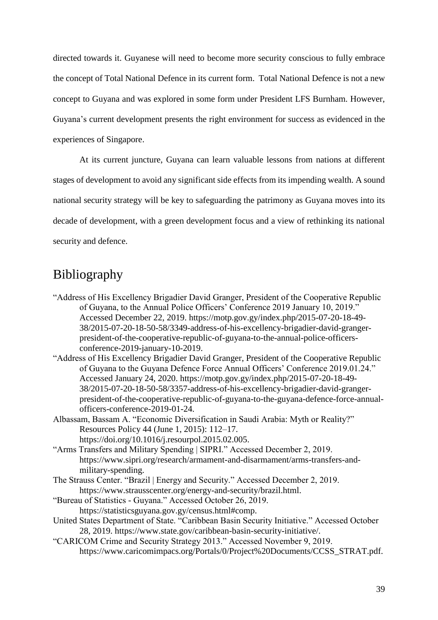directed towards it. Guyanese will need to become more security conscious to fully embrace the concept of Total National Defence in its current form. Total National Defence is not a new concept to Guyana and was explored in some form under President LFS Burnham. However, Guyana's current development presents the right environment for success as evidenced in the experiences of Singapore.

At its current juncture, Guyana can learn valuable lessons from nations at different stages of development to avoid any significant side effects from its impending wealth. A sound national security strategy will be key to safeguarding the patrimony as Guyana moves into its decade of development, with a green development focus and a view of rethinking its national security and defence.

## <span id="page-38-0"></span>Bibliography

- "Address of His Excellency Brigadier David Granger, President of the Cooperative Republic of Guyana, to the Annual Police Officers' Conference 2019 January 10, 2019." Accessed December 22, 2019. https://motp.gov.gy/index.php/2015-07-20-18-49- 38/2015-07-20-18-50-58/3349-address-of-his-excellency-brigadier-david-grangerpresident-of-the-cooperative-republic-of-guyana-to-the-annual-police-officersconference-2019-january-10-2019.
- "Address of His Excellency Brigadier David Granger, President of the Cooperative Republic of Guyana to the Guyana Defence Force Annual Officers' Conference 2019.01.24." Accessed January 24, 2020. https://motp.gov.gy/index.php/2015-07-20-18-49- 38/2015-07-20-18-50-58/3357-address-of-his-excellency-brigadier-david-grangerpresident-of-the-cooperative-republic-of-guyana-to-the-guyana-defence-force-annualofficers-conference-2019-01-24.
- Albassam, Bassam A. "Economic Diversification in Saudi Arabia: Myth or Reality?" Resources Policy 44 (June 1, 2015): 112–17. https://doi.org/10.1016/j.resourpol.2015.02.005.
- "Arms Transfers and Military Spending | SIPRI." Accessed December 2, 2019. https://www.sipri.org/research/armament-and-disarmament/arms-transfers-andmilitary-spending.
- The Strauss Center. "Brazil | Energy and Security." Accessed December 2, 2019. https://www.strausscenter.org/energy-and-security/brazil.html.
- "Bureau of Statistics Guyana." Accessed October 26, 2019. https://statisticsguyana.gov.gy/census.html#comp.
- United States Department of State. "Caribbean Basin Security Initiative." Accessed October 28, 2019. https://www.state.gov/caribbean-basin-security-initiative/.
- "CARICOM Crime and Security Strategy 2013." Accessed November 9, 2019. https://www.caricomimpacs.org/Portals/0/Project%20Documents/CCSS\_STRAT.pdf.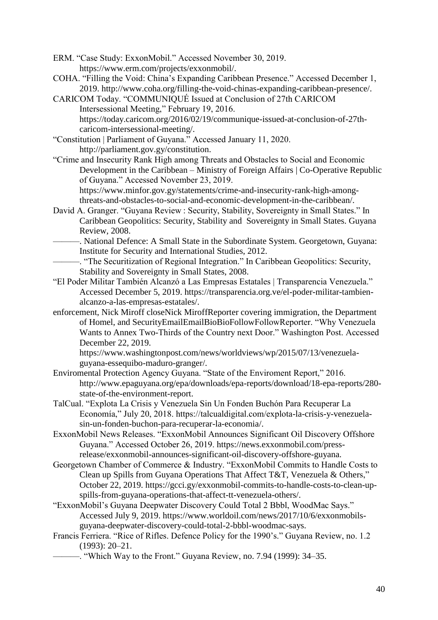ERM. "Case Study: ExxonMobil." Accessed November 30, 2019. https://www.erm.com/projects/exxonmobil/.

- COHA. "Filling the Void: China's Expanding Caribbean Presence." Accessed December 1, 2019. http://www.coha.org/filling-the-void-chinas-expanding-caribbean-presence/.
- CARICOM Today. "COMMUNIQUÉ Issued at Conclusion of 27th CARICOM Intersessional Meeting," February 19, 2016. https://today.caricom.org/2016/02/19/communique-issued-at-conclusion-of-27thcaricom-intersessional-meeting/.
- "Constitution | Parliament of Guyana." Accessed January 11, 2020. http://parliament.gov.gy/constitution.
- "Crime and Insecurity Rank High among Threats and Obstacles to Social and Economic Development in the Caribbean – Ministry of Foreign Affairs | Co-Operative Republic of Guyana." Accessed November 23, 2019.

https://www.minfor.gov.gy/statements/crime-and-insecurity-rank-high-amongthreats-and-obstacles-to-social-and-economic-development-in-the-caribbean/.

David A. Granger. "Guyana Review : Security, Stability, Sovereignty in Small States." In Caribbean Geopolitics: Security, Stability and Sovereignty in Small States. Guyana Review, 2008.

———. National Defence: A Small State in the Subordinate System. Georgetown, Guyana: Institute for Security and International Studies, 2012.

- ———. "The Securitization of Regional Integration." In Caribbean Geopolitics: Security, Stability and Sovereignty in Small States, 2008.
- "El Poder Militar También Alcanzó a Las Empresas Estatales | Transparencia Venezuela." Accessed December 5, 2019. https://transparencia.org.ve/el-poder-militar-tambienalcanzo-a-las-empresas-estatales/.
- enforcement, Nick Miroff closeNick MiroffReporter covering immigration, the Department of Homel, and SecurityEmailEmailBioBioFollowFollowReporter. "Why Venezuela Wants to Annex Two-Thirds of the Country next Door." Washington Post. Accessed December 22, 2019.

https://www.washingtonpost.com/news/worldviews/wp/2015/07/13/venezuelaguyana-essequibo-maduro-granger/.

- Enviromental Protection Agency Guyana. "State of the Enviroment Report," 2016. http://www.epaguyana.org/epa/downloads/epa-reports/download/18-epa-reports/280 state-of-the-environment-report.
- TalCual. "Explota La Crisis y Venezuela Sin Un Fonden Buchón Para Recuperar La Economía," July 20, 2018. https://talcualdigital.com/explota-la-crisis-y-venezuelasin-un-fonden-buchon-para-recuperar-la-economia/.
- ExxonMobil News Releases. "ExxonMobil Announces Significant Oil Discovery Offshore Guyana." Accessed October 26, 2019. https://news.exxonmobil.com/pressrelease/exxonmobil-announces-significant-oil-discovery-offshore-guyana.
- Georgetown Chamber of Commerce & Industry. "ExxonMobil Commits to Handle Costs to Clean up Spills from Guyana Operations That Affect T&T, Venezuela & Others," October 22, 2019. https://gcci.gy/exxonmobil-commits-to-handle-costs-to-clean-upspills-from-guyana-operations-that-affect-tt-venezuela-others/.
- "ExxonMobil's Guyana Deepwater Discovery Could Total 2 Bbbl, WoodMac Says." Accessed July 9, 2019. https://www.worldoil.com/news/2017/10/6/exxonmobilsguyana-deepwater-discovery-could-total-2-bbbl-woodmac-says.
- Francis Ferriera. "Rice of Rifles. Defence Policy for the 1990's." Guyana Review, no. 1.2 (1993): 20–21.
	- ———. "Which Way to the Front." Guyana Review, no. 7.94 (1999): 34–35.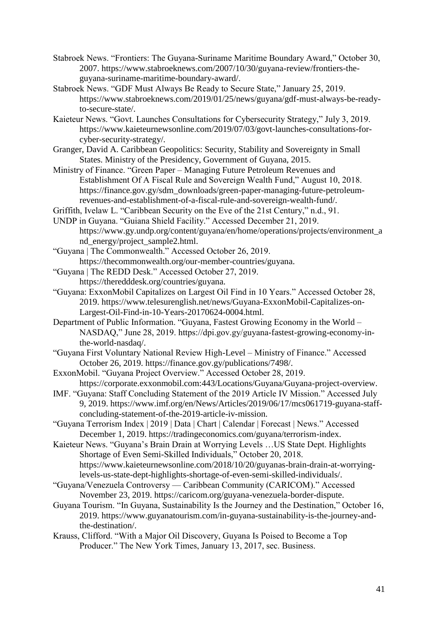- Stabroek News. "Frontiers: The Guyana-Suriname Maritime Boundary Award," October 30, 2007. https://www.stabroeknews.com/2007/10/30/guyana-review/frontiers-theguyana-suriname-maritime-boundary-award/.
- Stabroek News. "GDF Must Always Be Ready to Secure State," January 25, 2019. https://www.stabroeknews.com/2019/01/25/news/guyana/gdf-must-always-be-readyto-secure-state/.
- Kaieteur News. "Govt. Launches Consultations for Cybersecurity Strategy," July 3, 2019. https://www.kaieteurnewsonline.com/2019/07/03/govt-launches-consultations-forcyber-security-strategy/.
- Granger, David A. Caribbean Geopolitics: Security, Stability and Sovereignty in Small States. Ministry of the Presidency, Government of Guyana, 2015.
- Ministry of Finance. "Green Paper Managing Future Petroleum Revenues and Establishment Of A Fiscal Rule and Sovereign Wealth Fund," August 10, 2018. https://finance.gov.gy/sdm\_downloads/green-paper-managing-future-petroleumrevenues-and-establishment-of-a-fiscal-rule-and-sovereign-wealth-fund/.
- Griffith, Ivelaw L. "Caribbean Security on the Eve of the 21st Century," n.d., 91.
- UNDP in Guyana. "Guiana Shield Facility." Accessed December 21, 2019. https://www.gy.undp.org/content/guyana/en/home/operations/projects/environment\_a nd\_energy/project\_sample2.html.
- "Guyana | The Commonwealth." Accessed October 26, 2019. https://thecommonwealth.org/our-member-countries/guyana.
- "Guyana | The REDD Desk." Accessed October 27, 2019. https://theredddesk.org/countries/guyana.
- "Guyana: ExxonMobil Capitalizes on Largest Oil Find in 10 Years." Accessed October 28, 2019. https://www.telesurenglish.net/news/Guyana-ExxonMobil-Capitalizes-on-Largest-Oil-Find-in-10-Years-20170624-0004.html.
- Department of Public Information. "Guyana, Fastest Growing Economy in the World NASDAQ," June 28, 2019. https://dpi.gov.gy/guyana-fastest-growing-economy-inthe-world-nasdaq/.
- "Guyana First Voluntary National Review High-Level Ministry of Finance." Accessed October 26, 2019. https://finance.gov.gy/publications/7498/.
- ExxonMobil. "Guyana Project Overview." Accessed October 28, 2019. https://corporate.exxonmobil.com:443/Locations/Guyana/Guyana-project-overview.
- IMF. "Guyana: Staff Concluding Statement of the 2019 Article IV Mission." Accessed July 9, 2019. https://www.imf.org/en/News/Articles/2019/06/17/mcs061719-guyana-staffconcluding-statement-of-the-2019-article-iv-mission.
- "Guyana Terrorism Index | 2019 | Data | Chart | Calendar | Forecast | News." Accessed December 1, 2019. https://tradingeconomics.com/guyana/terrorism-index.
- Kaieteur News. "Guyana's Brain Drain at Worrying Levels …US State Dept. Highlights Shortage of Even Semi-Skilled Individuals," October 20, 2018. https://www.kaieteurnewsonline.com/2018/10/20/guyanas-brain-drain-at-worryinglevels-us-state-dept-highlights-shortage-of-even-semi-skilled-individuals/.
- "Guyana/Venezuela Controversy Caribbean Community (CARICOM)." Accessed November 23, 2019. https://caricom.org/guyana-venezuela-border-dispute.
- Guyana Tourism. "In Guyana, Sustainability Is the Journey and the Destination," October 16, 2019. https://www.guyanatourism.com/in-guyana-sustainability-is-the-journey-andthe-destination/.
- Krauss, Clifford. "With a Major Oil Discovery, Guyana Is Poised to Become a Top Producer." The New York Times, January 13, 2017, sec. Business.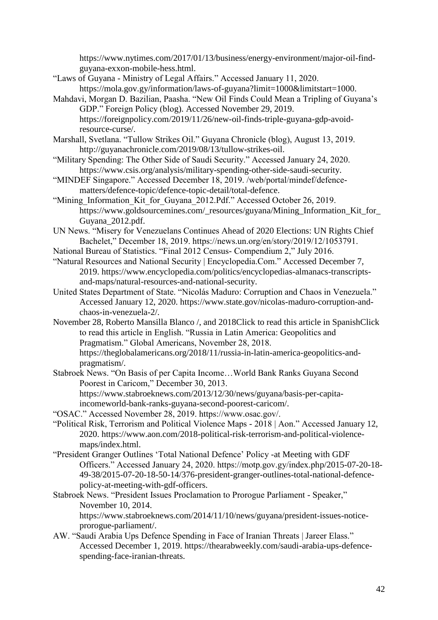https://www.nytimes.com/2017/01/13/business/energy-environment/major-oil-findguyana-exxon-mobile-hess.html.

- "Laws of Guyana Ministry of Legal Affairs." Accessed January 11, 2020. https://mola.gov.gy/information/laws-of-guyana?limit=1000&limitstart=1000.
- Mahdavi, Morgan D. Bazilian, Paasha. "New Oil Finds Could Mean a Tripling of Guyana's GDP." Foreign Policy (blog). Accessed November 29, 2019. https://foreignpolicy.com/2019/11/26/new-oil-finds-triple-guyana-gdp-avoidresource-curse/.
- Marshall, Svetlana. "Tullow Strikes Oil." Guyana Chronicle (blog), August 13, 2019. http://guyanachronicle.com/2019/08/13/tullow-strikes-oil.
- "Military Spending: The Other Side of Saudi Security." Accessed January 24, 2020. https://www.csis.org/analysis/military-spending-other-side-saudi-security.
- "MINDEF Singapore." Accessed December 18, 2019. /web/portal/mindef/defencematters/defence-topic/defence-topic-detail/total-defence.
- "Mining\_Information\_Kit\_for\_Guyana\_2012.Pdf." Accessed October 26, 2019. https://www.goldsourcemines.com/\_resources/guyana/Mining\_Information\_Kit\_for\_ Guyana\_2012.pdf.
- UN News. "Misery for Venezuelans Continues Ahead of 2020 Elections: UN Rights Chief Bachelet," December 18, 2019. https://news.un.org/en/story/2019/12/1053791.
- National Bureau of Statistics. "Final 2012 Census- Compendium 2," July 2016.
- "Natural Resources and National Security | Encyclopedia.Com." Accessed December 7, 2019. https://www.encyclopedia.com/politics/encyclopedias-almanacs-transcriptsand-maps/natural-resources-and-national-security.
- United States Department of State. "Nicolás Maduro: Corruption and Chaos in Venezuela." Accessed January 12, 2020. https://www.state.gov/nicolas-maduro-corruption-andchaos-in-venezuela-2/.
- November 28, Roberto Mansilla Blanco /, and 2018Click to read this article in SpanishClick to read this article in English. "Russia in Latin America: Geopolitics and Pragmatism." Global Americans, November 28, 2018.
	- https://theglobalamericans.org/2018/11/russia-in-latin-america-geopolitics-andpragmatism/.
- Stabroek News. "On Basis of per Capita Income…World Bank Ranks Guyana Second Poorest in Caricom," December 30, 2013. https://www.stabroeknews.com/2013/12/30/news/guyana/basis-per-capitaincomeworld-bank-ranks-guyana-second-poorest-caricom/.
- "OSAC." Accessed November 28, 2019. https://www.osac.gov/.
- "Political Risk, Terrorism and Political Violence Maps 2018 | Aon." Accessed January 12, 2020. https://www.aon.com/2018-political-risk-terrorism-and-political-violencemaps/index.html.
- "President Granger Outlines 'Total National Defence' Policy -at Meeting with GDF Officers." Accessed January 24, 2020. https://motp.gov.gy/index.php/2015-07-20-18- 49-38/2015-07-20-18-50-14/376-president-granger-outlines-total-national-defencepolicy-at-meeting-with-gdf-officers.
- Stabroek News. "President Issues Proclamation to Prorogue Parliament Speaker," November 10, 2014.

https://www.stabroeknews.com/2014/11/10/news/guyana/president-issues-noticeprorogue-parliament/.

AW. "Saudi Arabia Ups Defence Spending in Face of Iranian Threats | Jareer Elass." Accessed December 1, 2019. https://thearabweekly.com/saudi-arabia-ups-defencespending-face-iranian-threats.